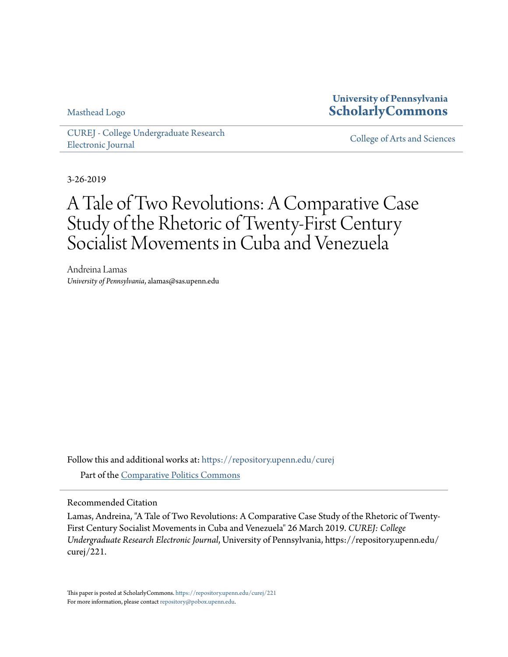Masthead Logo

## **University of Pennsylvania [ScholarlyCommons](https://repository.upenn.edu?utm_source=repository.upenn.edu%2Fcurej%2F221&utm_medium=PDF&utm_campaign=PDFCoverPages)**

[CUREJ - College Undergraduate Research](https://repository.upenn.edu/curej?utm_source=repository.upenn.edu%2Fcurej%2F221&utm_medium=PDF&utm_campaign=PDFCoverPages) [Electronic Journal](https://repository.upenn.edu/curej?utm_source=repository.upenn.edu%2Fcurej%2F221&utm_medium=PDF&utm_campaign=PDFCoverPages) [College of Arts and Sciences](https://repository.upenn.edu/college?utm_source=repository.upenn.edu%2Fcurej%2F221&utm_medium=PDF&utm_campaign=PDFCoverPages)

3-26-2019

# A Tale of Two Revolutions: A Comparative Case Study of the Rhetoric of Twenty-First Century Socialist Movements in Cuba and Venezuela

Andreina Lamas *University of Pennsylvania*, alamas@sas.upenn.edu

Follow this and additional works at: [https://repository.upenn.edu/curej](https://repository.upenn.edu/curej?utm_source=repository.upenn.edu%2Fcurej%2F221&utm_medium=PDF&utm_campaign=PDFCoverPages) Part of the [Comparative Politics Commons](http://network.bepress.com/hgg/discipline/388?utm_source=repository.upenn.edu%2Fcurej%2F221&utm_medium=PDF&utm_campaign=PDFCoverPages)

Recommended Citation

Lamas, Andreina, "A Tale of Two Revolutions: A Comparative Case Study of the Rhetoric of Twenty-First Century Socialist Movements in Cuba and Venezuela" 26 March 2019. *CUREJ: College Undergraduate Research Electronic Journal*, University of Pennsylvania, https://repository.upenn.edu/ curej/221.

This paper is posted at ScholarlyCommons. <https://repository.upenn.edu/curej/221> For more information, please contact [repository@pobox.upenn.edu.](mailto:repository@pobox.upenn.edu)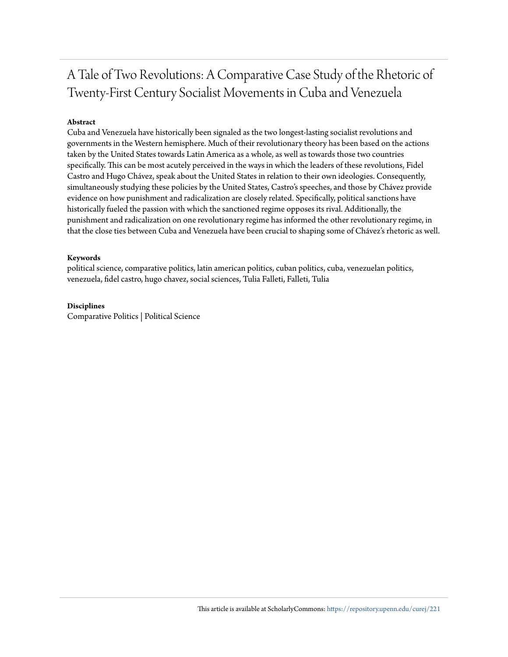## A Tale of Two Revolutions: A Comparative Case Study of the Rhetoric of Twenty-First Century Socialist Movements in Cuba and Venezuela

#### **Abstract**

Cuba and Venezuela have historically been signaled as the two longest-lasting socialist revolutions and governments in the Western hemisphere. Much of their revolutionary theory has been based on the actions taken by the United States towards Latin America as a whole, as well as towards those two countries specifically. This can be most acutely perceived in the ways in which the leaders of these revolutions, Fidel Castro and Hugo Chávez, speak about the United States in relation to their own ideologies. Consequently, simultaneously studying these policies by the United States, Castro's speeches, and those by Chávez provide evidence on how punishment and radicalization are closely related. Specifically, political sanctions have historically fueled the passion with which the sanctioned regime opposes its rival. Additionally, the punishment and radicalization on one revolutionary regime has informed the other revolutionary regime, in that the close ties between Cuba and Venezuela have been crucial to shaping some of Chávez's rhetoric as well.

#### **Keywords**

political science, comparative politics, latin american politics, cuban politics, cuba, venezuelan politics, venezuela, fidel castro, hugo chavez, social sciences, Tulia Falleti, Falleti, Tulia

#### **Disciplines**

Comparative Politics | Political Science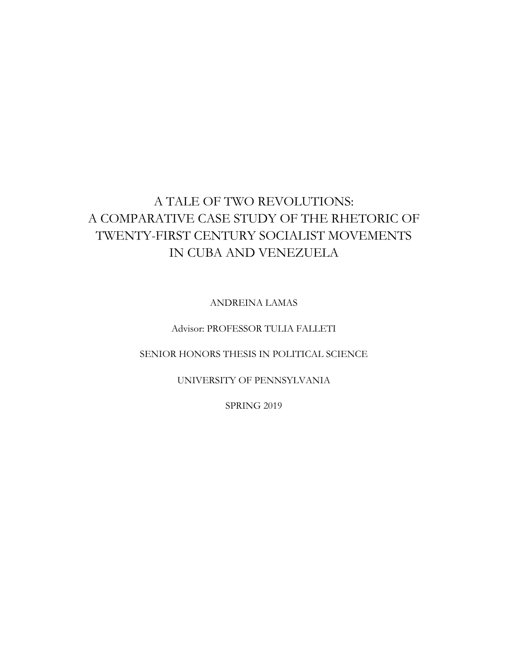## A TALE OF TWO REVOLUTIONS: A COMPARATIVE CASE STUDY OF THE RHETORIC OF TWENTY-FIRST CENTURY SOCIALIST MOVEMENTS IN CUBA AND VENEZUELA

ANDREINA LAMAS

Advisor: PROFESSOR TULIA FALLETI

SENIOR HONORS THESIS IN POLITICAL SCIENCE

UNIVERSITY OF PENNSYLVANIA

SPRING 2019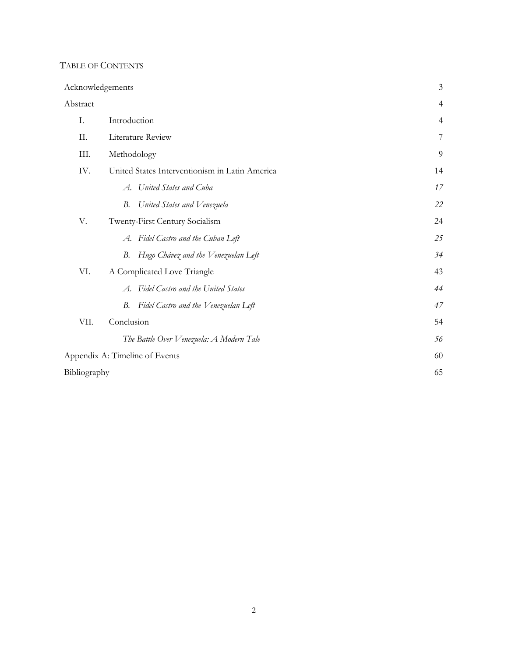## TABLE OF CONTENTS

| Acknowledgements |                                                | 3              |  |
|------------------|------------------------------------------------|----------------|--|
| Abstract         |                                                | $\overline{4}$ |  |
| Ι.               | Introduction<br>$\overline{4}$                 |                |  |
| П.               | 7<br>Literature Review                         |                |  |
| III.             | Methodology<br>9                               |                |  |
| IV.              | United States Interventionism in Latin America | 14             |  |
|                  | United States and Cuba<br>A.                   | 17             |  |
|                  | В.<br>United States and Venezuela              | 22             |  |
| V.               | Twenty-First Century Socialism                 | 24             |  |
|                  | A. Fidel Castro and the Cuban Left             | 25             |  |
|                  | Hugo Chávez and the Venezuelan Left<br>В.      | 34             |  |
| VI.              | A Complicated Love Triangle                    | 43             |  |
|                  | A. Fidel Castro and the United States          | 44             |  |
|                  | Fidel Castro and the Venezuelan Left<br>В.     | 47             |  |
| VII.             | Conclusion                                     | 54             |  |
|                  | The Battle Over Venezuela: A Modern Tale       | 56             |  |
|                  | Appendix A: Timeline of Events                 | 60             |  |
| Bibliography     |                                                | 65             |  |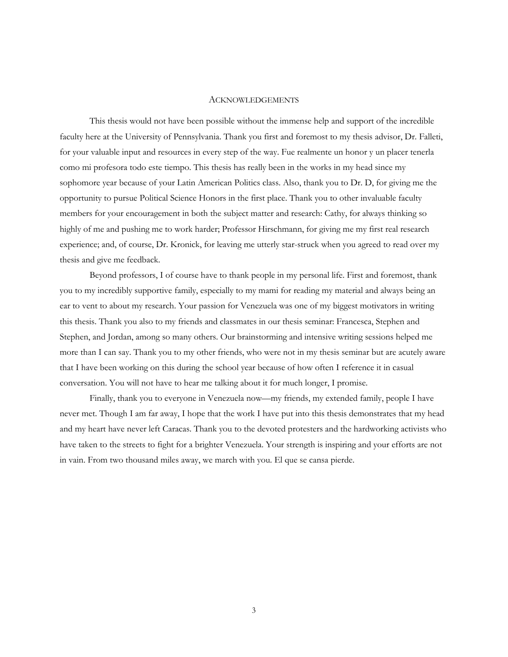#### **ACKNOWLEDGEMENTS**

This thesis would not have been possible without the immense help and support of the incredible faculty here at the University of Pennsylvania. Thank you first and foremost to my thesis advisor, Dr. Falleti, for your valuable input and resources in every step of the way. Fue realmente un honor y un placer tenerla como mi profesora todo este tiempo. This thesis has really been in the works in my head since my sophomore year because of your Latin American Politics class. Also, thank you to Dr. D, for giving me the opportunity to pursue Political Science Honors in the first place. Thank you to other invaluable faculty members for your encouragement in both the subject matter and research: Cathy, for always thinking so highly of me and pushing me to work harder; Professor Hirschmann, for giving me my first real research experience; and, of course, Dr. Kronick, for leaving me utterly star-struck when you agreed to read over my thesis and give me feedback.

Beyond professors, I of course have to thank people in my personal life. First and foremost, thank you to my incredibly supportive family, especially to my mami for reading my material and always being an ear to vent to about my research. Your passion for Venezuela was one of my biggest motivators in writing this thesis. Thank you also to my friends and classmates in our thesis seminar: Francesca, Stephen and Stephen, and Jordan, among so many others. Our brainstorming and intensive writing sessions helped me more than I can say. Thank you to my other friends, who were not in my thesis seminar but are acutely aware that I have been working on this during the school year because of how often I reference it in casual conversation. You will not have to hear me talking about it for much longer, I promise.

Finally, thank you to everyone in Venezuela now—my friends, my extended family, people I have never met. Though I am far away, I hope that the work I have put into this thesis demonstrates that my head and my heart have never left Caracas. Thank you to the devoted protesters and the hardworking activists who have taken to the streets to fight for a brighter Venezuela. Your strength is inspiring and your efforts are not in vain. From two thousand miles away, we march with you. El que se cansa pierde.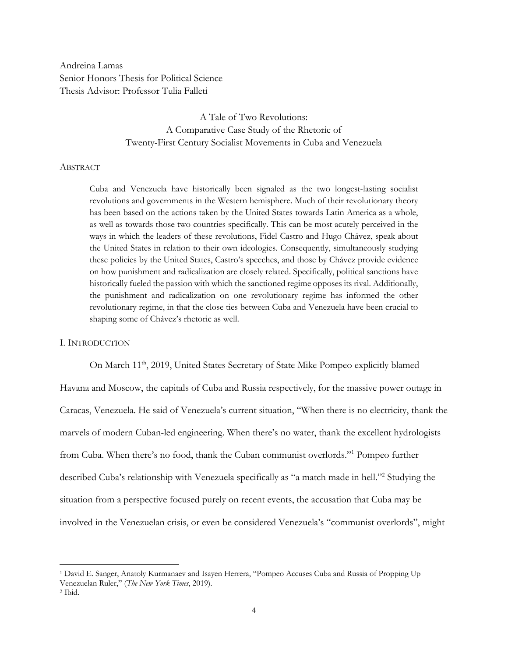Andreina Lamas Senior Honors Thesis for Political Science Thesis Advisor: Professor Tulia Falleti

> A Tale of Two Revolutions: A Comparative Case Study of the Rhetoric of Twenty-First Century Socialist Movements in Cuba and Venezuela

#### ABSTRACT

Cuba and Venezuela have historically been signaled as the two longest-lasting socialist revolutions and governments in the Western hemisphere. Much of their revolutionary theory has been based on the actions taken by the United States towards Latin America as a whole, as well as towards those two countries specifically. This can be most acutely perceived in the ways in which the leaders of these revolutions, Fidel Castro and Hugo Chávez, speak about the United States in relation to their own ideologies. Consequently, simultaneously studying these policies by the United States, Castro's speeches, and those by Chávez provide evidence on how punishment and radicalization are closely related. Specifically, political sanctions have historically fueled the passion with which the sanctioned regime opposes its rival. Additionally, the punishment and radicalization on one revolutionary regime has informed the other revolutionary regime, in that the close ties between Cuba and Venezuela have been crucial to shaping some of Chávez's rhetoric as well.

#### I. INTRODUCTION

On March 11<sup>th</sup>, 2019, United States Secretary of State Mike Pompeo explicitly blamed Havana and Moscow, the capitals of Cuba and Russia respectively, for the massive power outage in Caracas, Venezuela. He said of Venezuela's current situation, "When there is no electricity, thank the marvels of modern Cuban-led engineering. When there's no water, thank the excellent hydrologists from Cuba. When there's no food, thank the Cuban communist overlords."1 Pompeo further described Cuba's relationship with Venezuela specifically as "a match made in hell."2 Studying the situation from a perspective focused purely on recent events, the accusation that Cuba may be involved in the Venezuelan crisis, or even be considered Venezuela's "communist overlords", might

<sup>&</sup>lt;sup>1</sup> David E. Sanger, Anatoly Kurmanaev and Isayen Herrera, "Pompeo Accuses Cuba and Russia of Propping Up Venezuelan Ruler," (*The New York Times*, 2019).

<sup>2</sup> Ibid.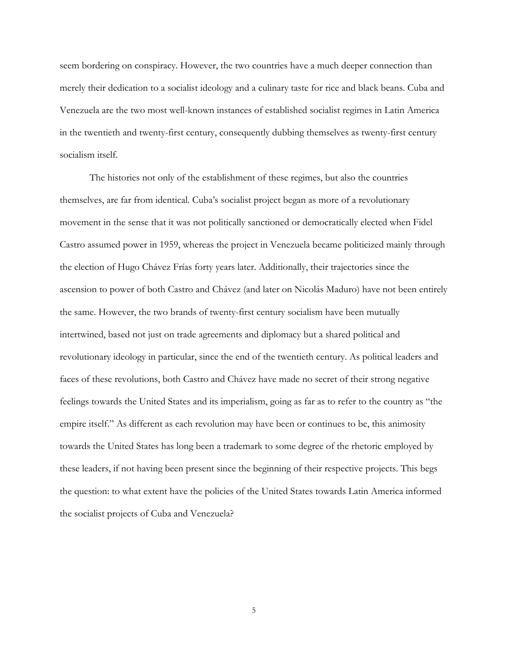seem bordering on conspiracy. However, the two countries have a much deeper connection than merely their dedication to a socialist ideology and a culinary taste for rice and black beans. Cuba and Venezuela are the two most well-known instances of established socialist regimes in Latin America in the twentieth and twenty-first century, consequently dubbing themselves as twenty-first century socialism itself.

The histories not only of the establishment of these regimes, but also the countries themselves, are far from identical. Cuba's socialist project began as more of a revolutionary movement in the sense that it was not politically sanctioned or democratically elected when Fidel Castro assumed power in 1959, whereas the project in Venezuela became politicized mainly through the election of Hugo Chávez Frías forty years later. Additionally, their trajectories since the ascension to power of both Castro and Chávez (and later on Nicolás Maduro) have not been entirely the same. However, the two brands of twenty-first century socialism have been mutually intertwined, based not just on trade agreements and diplomacy but a shared political and revolutionary ideology in particular, since the end of the twentieth century. As political leaders and faces of these revolutions, both Castro and Chávez have made no secret of their strong negative feelings towards the United States and its imperialism, going as far as to refer to the country as "the empire itself." As different as each revolution may have been or continues to be, this animosity towards the United States has long been a trademark to some degree of the rhetoric employed by these leaders, if not having been present since the beginning of their respective projects. This begs the question: to what extent have the policies of the United States towards Latin America informed the socialist projects of Cuba and Venezuela?

5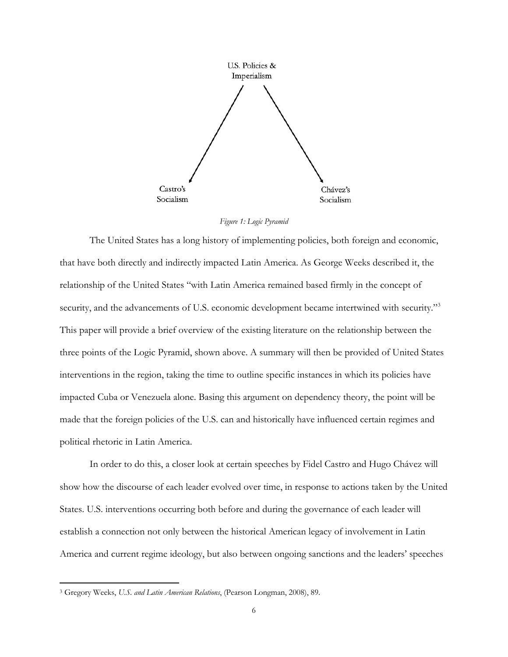

*Figure 1: Logic Pyramid*

The United States has a long history of implementing policies, both foreign and economic, that have both directly and indirectly impacted Latin America. As George Weeks described it, the relationship of the United States "with Latin America remained based firmly in the concept of security, and the advancements of U.S. economic development became intertwined with security."<sup>3</sup> This paper will provide a brief overview of the existing literature on the relationship between the three points of the Logic Pyramid, shown above. A summary will then be provided of United States interventions in the region, taking the time to outline specific instances in which its policies have impacted Cuba or Venezuela alone. Basing this argument on dependency theory, the point will be made that the foreign policies of the U.S. can and historically have influenced certain regimes and political rhetoric in Latin America.

In order to do this, a closer look at certain speeches by Fidel Castro and Hugo Chávez will show how the discourse of each leader evolved over time, in response to actions taken by the United States. U.S. interventions occurring both before and during the governance of each leader will establish a connection not only between the historical American legacy of involvement in Latin America and current regime ideology, but also between ongoing sanctions and the leaders' speeches

<sup>3</sup> Gregory Weeks, *U.S. and Latin American Relations*, (Pearson Longman, 2008), 89.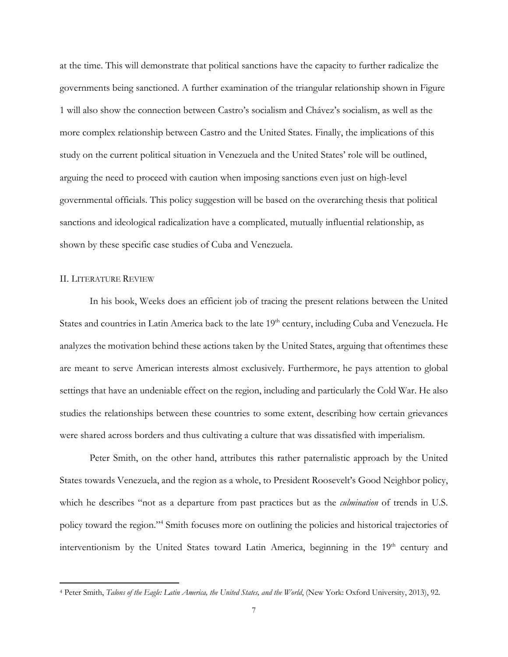at the time. This will demonstrate that political sanctions have the capacity to further radicalize the governments being sanctioned. A further examination of the triangular relationship shown in Figure 1 will also show the connection between Castro's socialism and Chávez's socialism, as well as the more complex relationship between Castro and the United States. Finally, the implications of this study on the current political situation in Venezuela and the United States' role will be outlined, arguing the need to proceed with caution when imposing sanctions even just on high-level governmental officials. This policy suggestion will be based on the overarching thesis that political sanctions and ideological radicalization have a complicated, mutually influential relationship, as shown by these specific case studies of Cuba and Venezuela.

#### II. LITERATURE REVIEW

 $\overline{a}$ 

In his book, Weeks does an efficient job of tracing the present relations between the United States and countries in Latin America back to the late 19<sup>th</sup> century, including Cuba and Venezuela. He analyzes the motivation behind these actions taken by the United States, arguing that oftentimes these are meant to serve American interests almost exclusively. Furthermore, he pays attention to global settings that have an undeniable effect on the region, including and particularly the Cold War. He also studies the relationships between these countries to some extent, describing how certain grievances were shared across borders and thus cultivating a culture that was dissatisfied with imperialism.

Peter Smith, on the other hand, attributes this rather paternalistic approach by the United States towards Venezuela, and the region as a whole, to President Roosevelt's Good Neighbor policy, which he describes "not as a departure from past practices but as the *culmination* of trends in U.S. policy toward the region."4 Smith focuses more on outlining the policies and historical trajectories of interventionism by the United States toward Latin America, beginning in the 19<sup>th</sup> century and

<sup>4</sup> Peter Smith, *Talons of the Eagle: Latin America, the United States, and the World*, (New York: Oxford University, 2013), 92.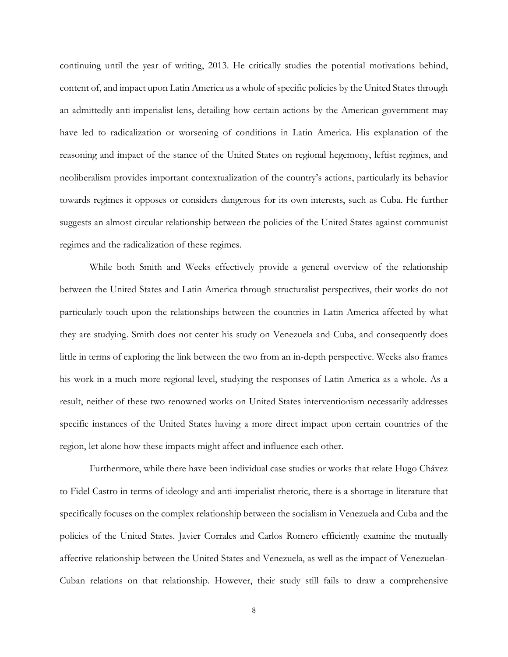continuing until the year of writing, 2013. He critically studies the potential motivations behind, content of, and impact upon Latin America as a whole of specific policies by the United States through an admittedly anti-imperialist lens, detailing how certain actions by the American government may have led to radicalization or worsening of conditions in Latin America. His explanation of the reasoning and impact of the stance of the United States on regional hegemony, leftist regimes, and neoliberalism provides important contextualization of the country's actions, particularly its behavior towards regimes it opposes or considers dangerous for its own interests, such as Cuba. He further suggests an almost circular relationship between the policies of the United States against communist regimes and the radicalization of these regimes.

While both Smith and Weeks effectively provide a general overview of the relationship between the United States and Latin America through structuralist perspectives, their works do not particularly touch upon the relationships between the countries in Latin America affected by what they are studying. Smith does not center his study on Venezuela and Cuba, and consequently does little in terms of exploring the link between the two from an in-depth perspective. Weeks also frames his work in a much more regional level, studying the responses of Latin America as a whole. As a result, neither of these two renowned works on United States interventionism necessarily addresses specific instances of the United States having a more direct impact upon certain countries of the region, let alone how these impacts might affect and influence each other.

Furthermore, while there have been individual case studies or works that relate Hugo Chávez to Fidel Castro in terms of ideology and anti-imperialist rhetoric, there is a shortage in literature that specifically focuses on the complex relationship between the socialism in Venezuela and Cuba and the policies of the United States. Javier Corrales and Carlos Romero efficiently examine the mutually affective relationship between the United States and Venezuela, as well as the impact of Venezuelan-Cuban relations on that relationship. However, their study still fails to draw a comprehensive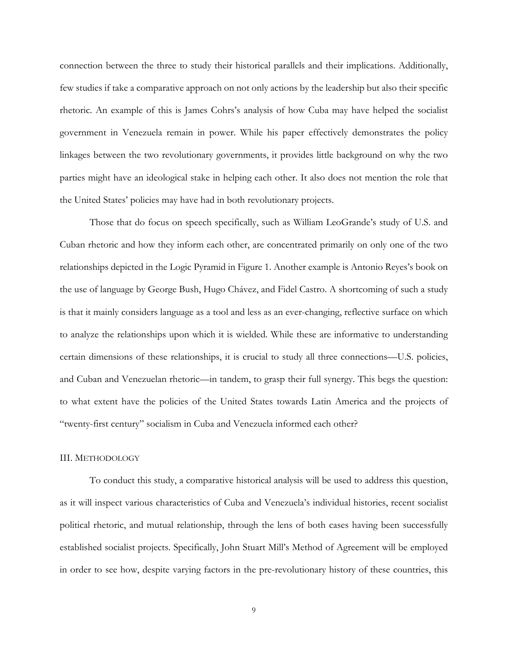connection between the three to study their historical parallels and their implications. Additionally, few studies if take a comparative approach on not only actions by the leadership but also their specific rhetoric. An example of this is James Cohrs's analysis of how Cuba may have helped the socialist government in Venezuela remain in power. While his paper effectively demonstrates the policy linkages between the two revolutionary governments, it provides little background on why the two parties might have an ideological stake in helping each other. It also does not mention the role that the United States' policies may have had in both revolutionary projects.

Those that do focus on speech specifically, such as William LeoGrande's study of U.S. and Cuban rhetoric and how they inform each other, are concentrated primarily on only one of the two relationships depicted in the Logic Pyramid in Figure 1. Another example is Antonio Reyes's book on the use of language by George Bush, Hugo Chávez, and Fidel Castro. A shortcoming of such a study is that it mainly considers language as a tool and less as an ever-changing, reflective surface on which to analyze the relationships upon which it is wielded. While these are informative to understanding certain dimensions of these relationships, it is crucial to study all three connections—U.S. policies, and Cuban and Venezuelan rhetoric—in tandem, to grasp their full synergy. This begs the question: to what extent have the policies of the United States towards Latin America and the projects of "twenty-first century" socialism in Cuba and Venezuela informed each other?

#### III. METHODOLOGY

To conduct this study, a comparative historical analysis will be used to address this question, as it will inspect various characteristics of Cuba and Venezuela's individual histories, recent socialist political rhetoric, and mutual relationship, through the lens of both cases having been successfully established socialist projects. Specifically, John Stuart Mill's Method of Agreement will be employed in order to see how, despite varying factors in the pre-revolutionary history of these countries, this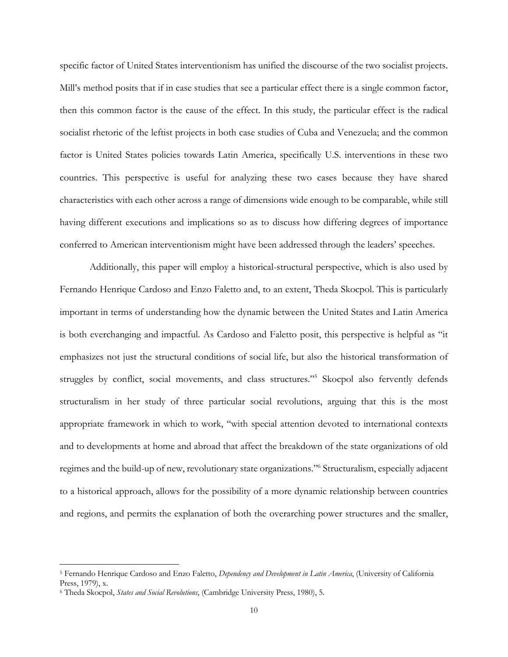specific factor of United States interventionism has unified the discourse of the two socialist projects. Mill's method posits that if in case studies that see a particular effect there is a single common factor, then this common factor is the cause of the effect. In this study, the particular effect is the radical socialist rhetoric of the leftist projects in both case studies of Cuba and Venezuela; and the common factor is United States policies towards Latin America, specifically U.S. interventions in these two countries. This perspective is useful for analyzing these two cases because they have shared characteristics with each other across a range of dimensions wide enough to be comparable, while still having different executions and implications so as to discuss how differing degrees of importance conferred to American interventionism might have been addressed through the leaders' speeches.

Additionally, this paper will employ a historical-structural perspective, which is also used by Fernando Henrique Cardoso and Enzo Faletto and, to an extent, Theda Skocpol. This is particularly important in terms of understanding how the dynamic between the United States and Latin America is both everchanging and impactful. As Cardoso and Faletto posit, this perspective is helpful as "it emphasizes not just the structural conditions of social life, but also the historical transformation of struggles by conflict, social movements, and class structures."5 Skocpol also fervently defends structuralism in her study of three particular social revolutions, arguing that this is the most appropriate framework in which to work, "with special attention devoted to international contexts and to developments at home and abroad that affect the breakdown of the state organizations of old regimes and the build-up of new, revolutionary state organizations."6 Structuralism, especially adjacent to a historical approach, allows for the possibility of a more dynamic relationship between countries and regions, and permits the explanation of both the overarching power structures and the smaller,

<sup>5</sup> Fernando Henrique Cardoso and Enzo Faletto, *Dependency and Development in Latin America*, (University of California Press, 1979), x.

<sup>6</sup> Theda Skocpol, *States and Social Revolutions*, (Cambridge University Press, 1980), 5.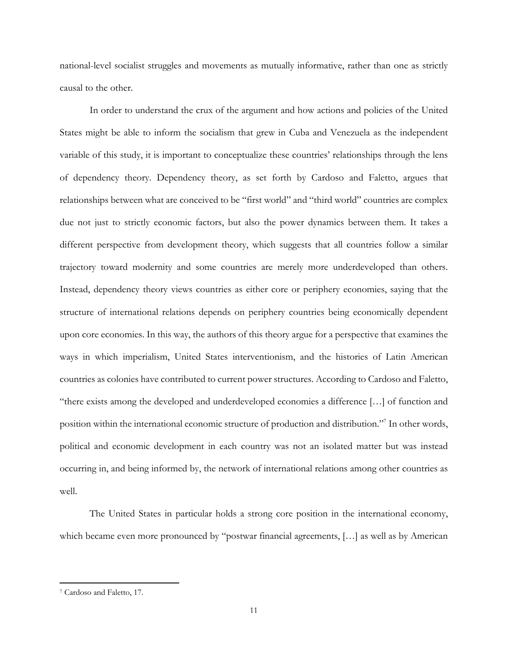national-level socialist struggles and movements as mutually informative, rather than one as strictly causal to the other.

In order to understand the crux of the argument and how actions and policies of the United States might be able to inform the socialism that grew in Cuba and Venezuela as the independent variable of this study, it is important to conceptualize these countries' relationships through the lens of dependency theory. Dependency theory, as set forth by Cardoso and Faletto, argues that relationships between what are conceived to be "first world" and "third world" countries are complex due not just to strictly economic factors, but also the power dynamics between them. It takes a different perspective from development theory, which suggests that all countries follow a similar trajectory toward modernity and some countries are merely more underdeveloped than others. Instead, dependency theory views countries as either core or periphery economies, saying that the structure of international relations depends on periphery countries being economically dependent upon core economies. In this way, the authors of this theory argue for a perspective that examines the ways in which imperialism, United States interventionism, and the histories of Latin American countries as colonies have contributed to current power structures. According to Cardoso and Faletto, "there exists among the developed and underdeveloped economies a difference […] of function and position within the international economic structure of production and distribution."7 In other words, political and economic development in each country was not an isolated matter but was instead occurring in, and being informed by, the network of international relations among other countries as well.

The United States in particular holds a strong core position in the international economy, which became even more pronounced by "postwar financial agreements, […] as well as by American

<sup>7</sup> Cardoso and Faletto, 17.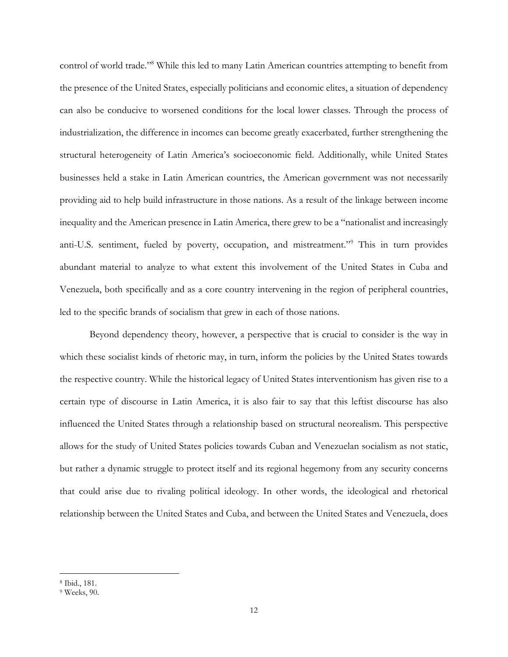control of world trade."8 While this led to many Latin American countries attempting to benefit from the presence of the United States, especially politicians and economic elites, a situation of dependency can also be conducive to worsened conditions for the local lower classes. Through the process of industrialization, the difference in incomes can become greatly exacerbated, further strengthening the structural heterogeneity of Latin America's socioeconomic field. Additionally, while United States businesses held a stake in Latin American countries, the American government was not necessarily providing aid to help build infrastructure in those nations. As a result of the linkage between income inequality and the American presence in Latin America, there grew to be a "nationalist and increasingly anti-U.S. sentiment, fueled by poverty, occupation, and mistreatment."9 This in turn provides abundant material to analyze to what extent this involvement of the United States in Cuba and Venezuela, both specifically and as a core country intervening in the region of peripheral countries, led to the specific brands of socialism that grew in each of those nations.

Beyond dependency theory, however, a perspective that is crucial to consider is the way in which these socialist kinds of rhetoric may, in turn, inform the policies by the United States towards the respective country. While the historical legacy of United States interventionism has given rise to a certain type of discourse in Latin America, it is also fair to say that this leftist discourse has also influenced the United States through a relationship based on structural neorealism. This perspective allows for the study of United States policies towards Cuban and Venezuelan socialism as not static, but rather a dynamic struggle to protect itself and its regional hegemony from any security concerns that could arise due to rivaling political ideology. In other words, the ideological and rhetorical relationship between the United States and Cuba, and between the United States and Venezuela, does

<sup>8</sup> Ibid., 181.

<sup>9</sup> Weeks, 90.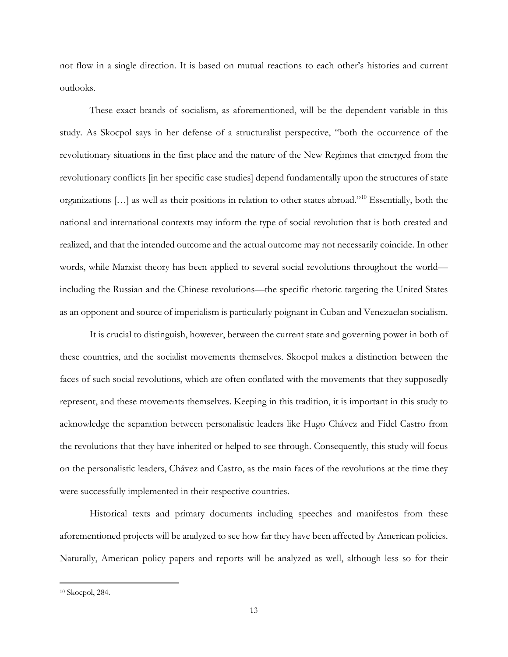not flow in a single direction. It is based on mutual reactions to each other's histories and current outlooks.

These exact brands of socialism, as aforementioned, will be the dependent variable in this study. As Skocpol says in her defense of a structuralist perspective, "both the occurrence of the revolutionary situations in the first place and the nature of the New Regimes that emerged from the revolutionary conflicts [in her specific case studies] depend fundamentally upon the structures of state organizations […] as well as their positions in relation to other states abroad."10 Essentially, both the national and international contexts may inform the type of social revolution that is both created and realized, and that the intended outcome and the actual outcome may not necessarily coincide. In other words, while Marxist theory has been applied to several social revolutions throughout the world including the Russian and the Chinese revolutions—the specific rhetoric targeting the United States as an opponent and source of imperialism is particularly poignant in Cuban and Venezuelan socialism.

It is crucial to distinguish, however, between the current state and governing power in both of these countries, and the socialist movements themselves. Skocpol makes a distinction between the faces of such social revolutions, which are often conflated with the movements that they supposedly represent, and these movements themselves. Keeping in this tradition, it is important in this study to acknowledge the separation between personalistic leaders like Hugo Chávez and Fidel Castro from the revolutions that they have inherited or helped to see through. Consequently, this study will focus on the personalistic leaders, Chávez and Castro, as the main faces of the revolutions at the time they were successfully implemented in their respective countries.

Historical texts and primary documents including speeches and manifestos from these aforementioned projects will be analyzed to see how far they have been affected by American policies. Naturally, American policy papers and reports will be analyzed as well, although less so for their

<sup>10</sup> Skocpol, 284.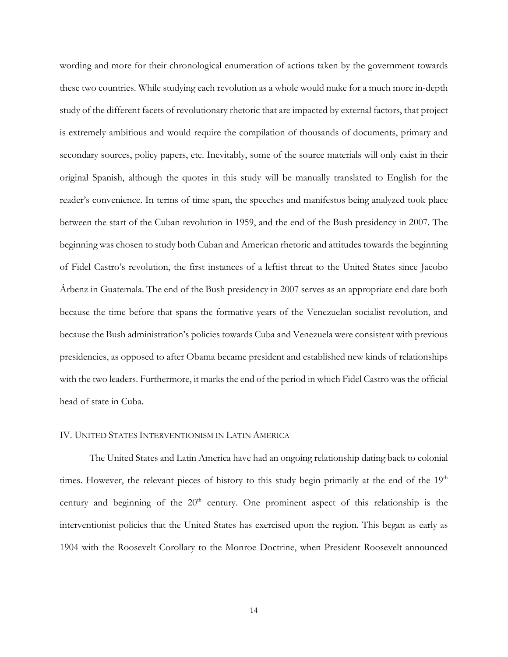wording and more for their chronological enumeration of actions taken by the government towards these two countries. While studying each revolution as a whole would make for a much more in-depth study of the different facets of revolutionary rhetoric that are impacted by external factors, that project is extremely ambitious and would require the compilation of thousands of documents, primary and secondary sources, policy papers, etc. Inevitably, some of the source materials will only exist in their original Spanish, although the quotes in this study will be manually translated to English for the reader's convenience. In terms of time span, the speeches and manifestos being analyzed took place between the start of the Cuban revolution in 1959, and the end of the Bush presidency in 2007. The beginning was chosen to study both Cuban and American rhetoric and attitudes towards the beginning of Fidel Castro's revolution, the first instances of a leftist threat to the United States since Jacobo Árbenz in Guatemala. The end of the Bush presidency in 2007 serves as an appropriate end date both because the time before that spans the formative years of the Venezuelan socialist revolution, and because the Bush administration's policies towards Cuba and Venezuela were consistent with previous presidencies, as opposed to after Obama became president and established new kinds of relationships with the two leaders. Furthermore, it marks the end of the period in which Fidel Castro was the official head of state in Cuba.

#### IV. UNITED STATES INTERVENTIONISM IN LATIN AMERICA

The United States and Latin America have had an ongoing relationship dating back to colonial times. However, the relevant pieces of history to this study begin primarily at the end of the 19<sup>th</sup> century and beginning of the  $20<sup>th</sup>$  century. One prominent aspect of this relationship is the interventionist policies that the United States has exercised upon the region. This began as early as 1904 with the Roosevelt Corollary to the Monroe Doctrine, when President Roosevelt announced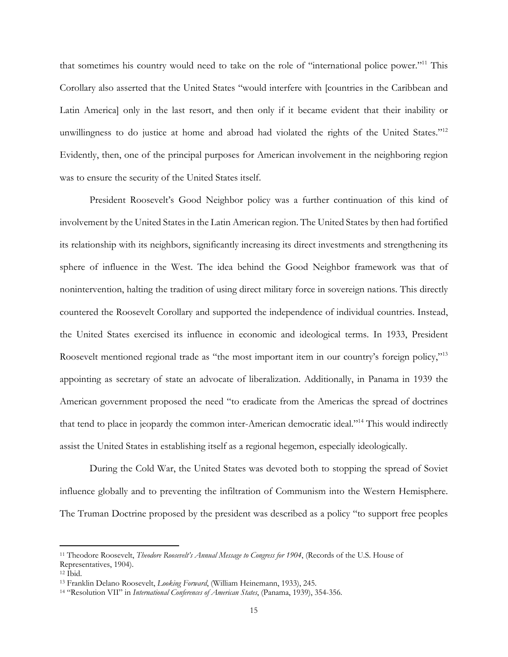that sometimes his country would need to take on the role of "international police power."11 This Corollary also asserted that the United States "would interfere with [countries in the Caribbean and Latin America] only in the last resort, and then only if it became evident that their inability or unwillingness to do justice at home and abroad had violated the rights of the United States."<sup>12</sup> Evidently, then, one of the principal purposes for American involvement in the neighboring region was to ensure the security of the United States itself.

President Roosevelt's Good Neighbor policy was a further continuation of this kind of involvement by the United States in the Latin American region. The United States by then had fortified its relationship with its neighbors, significantly increasing its direct investments and strengthening its sphere of influence in the West. The idea behind the Good Neighbor framework was that of nonintervention, halting the tradition of using direct military force in sovereign nations. This directly countered the Roosevelt Corollary and supported the independence of individual countries. Instead, the United States exercised its influence in economic and ideological terms. In 1933, President Roosevelt mentioned regional trade as "the most important item in our country's foreign policy,"13 appointing as secretary of state an advocate of liberalization. Additionally, in Panama in 1939 the American government proposed the need "to eradicate from the Americas the spread of doctrines that tend to place in jeopardy the common inter-American democratic ideal."14 This would indirectly assist the United States in establishing itself as a regional hegemon, especially ideologically.

During the Cold War, the United States was devoted both to stopping the spread of Soviet influence globally and to preventing the infiltration of Communism into the Western Hemisphere. The Truman Doctrine proposed by the president was described as a policy "to support free peoples

<sup>11</sup> Theodore Roosevelt, *Theodore Roosevelt's Annual Message to Congress for 1904*, (Records of the U.S. House of Representatives, 1904).

<sup>12</sup> Ibid.

<sup>13</sup> Franklin Delano Roosevelt, *Looking Forward*, (William Heinemann, 1933), 245.

<sup>14</sup> "Resolution VII" in *International Conferences of American States*, (Panama, 1939), 354-356.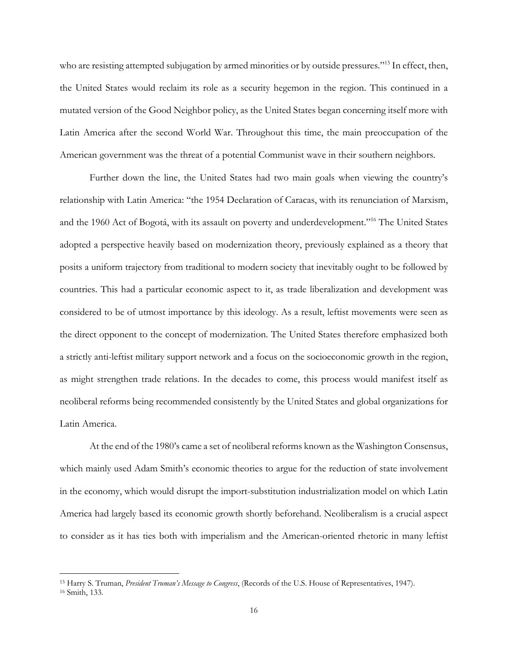who are resisting attempted subjugation by armed minorities or by outside pressures."<sup>15</sup> In effect, then, the United States would reclaim its role as a security hegemon in the region. This continued in a mutated version of the Good Neighbor policy, as the United States began concerning itself more with Latin America after the second World War. Throughout this time, the main preoccupation of the American government was the threat of a potential Communist wave in their southern neighbors.

Further down the line, the United States had two main goals when viewing the country's relationship with Latin America: "the 1954 Declaration of Caracas, with its renunciation of Marxism, and the 1960 Act of Bogotá, with its assault on poverty and underdevelopment."16 The United States adopted a perspective heavily based on modernization theory, previously explained as a theory that posits a uniform trajectory from traditional to modern society that inevitably ought to be followed by countries. This had a particular economic aspect to it, as trade liberalization and development was considered to be of utmost importance by this ideology. As a result, leftist movements were seen as the direct opponent to the concept of modernization. The United States therefore emphasized both a strictly anti-leftist military support network and a focus on the socioeconomic growth in the region, as might strengthen trade relations. In the decades to come, this process would manifest itself as neoliberal reforms being recommended consistently by the United States and global organizations for Latin America.

At the end of the 1980's came a set of neoliberal reforms known as the Washington Consensus, which mainly used Adam Smith's economic theories to argue for the reduction of state involvement in the economy, which would disrupt the import-substitution industrialization model on which Latin America had largely based its economic growth shortly beforehand. Neoliberalism is a crucial aspect to consider as it has ties both with imperialism and the American-oriented rhetoric in many leftist

<sup>15</sup> Harry S. Truman, *President Truman's Message to Congress*, (Records of the U.S. House of Representatives, 1947). <sup>16</sup> Smith, 133.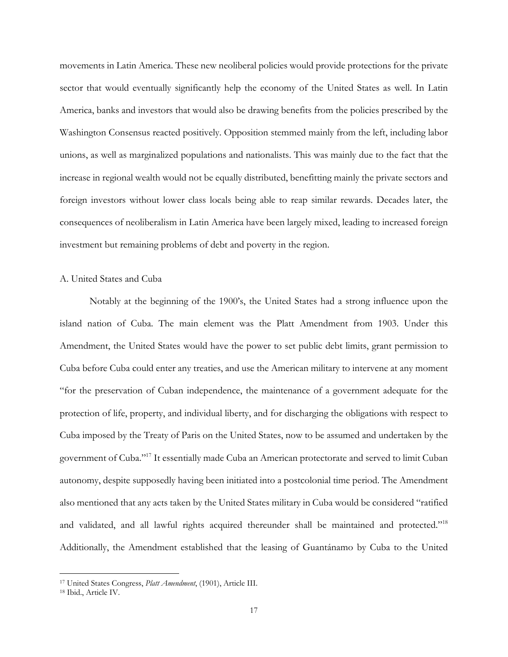movements in Latin America. These new neoliberal policies would provide protections for the private sector that would eventually significantly help the economy of the United States as well. In Latin America, banks and investors that would also be drawing benefits from the policies prescribed by the Washington Consensus reacted positively. Opposition stemmed mainly from the left, including labor unions, as well as marginalized populations and nationalists. This was mainly due to the fact that the increase in regional wealth would not be equally distributed, benefitting mainly the private sectors and foreign investors without lower class locals being able to reap similar rewards. Decades later, the consequences of neoliberalism in Latin America have been largely mixed, leading to increased foreign investment but remaining problems of debt and poverty in the region.

#### A. United States and Cuba

Notably at the beginning of the 1900's, the United States had a strong influence upon the island nation of Cuba. The main element was the Platt Amendment from 1903. Under this Amendment, the United States would have the power to set public debt limits, grant permission to Cuba before Cuba could enter any treaties, and use the American military to intervene at any moment "for the preservation of Cuban independence, the maintenance of a government adequate for the protection of life, property, and individual liberty, and for discharging the obligations with respect to Cuba imposed by the Treaty of Paris on the United States, now to be assumed and undertaken by the government of Cuba."17 It essentially made Cuba an American protectorate and served to limit Cuban autonomy, despite supposedly having been initiated into a postcolonial time period. The Amendment also mentioned that any acts taken by the United States military in Cuba would be considered "ratified and validated, and all lawful rights acquired thereunder shall be maintained and protected."<sup>18</sup> Additionally, the Amendment established that the leasing of Guantánamo by Cuba to the United

<sup>17</sup> United States Congress, *Platt Amendment*, (1901), Article III.

<sup>18</sup> Ibid., Article IV.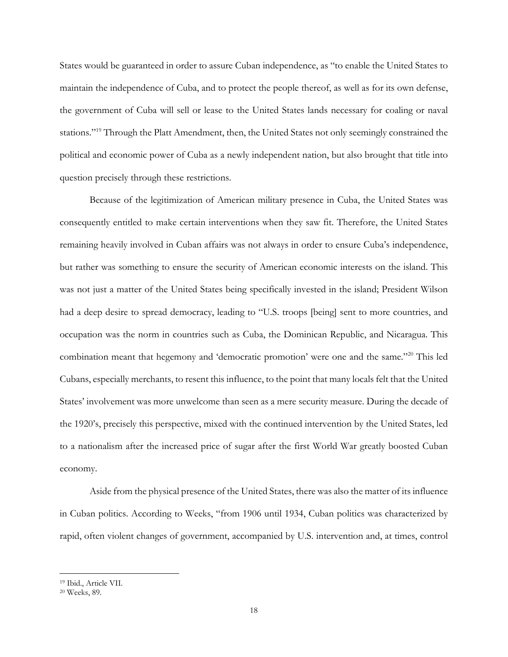States would be guaranteed in order to assure Cuban independence, as "to enable the United States to maintain the independence of Cuba, and to protect the people thereof, as well as for its own defense, the government of Cuba will sell or lease to the United States lands necessary for coaling or naval stations."<sup>19</sup> Through the Platt Amendment, then, the United States not only seemingly constrained the political and economic power of Cuba as a newly independent nation, but also brought that title into question precisely through these restrictions.

Because of the legitimization of American military presence in Cuba, the United States was consequently entitled to make certain interventions when they saw fit. Therefore, the United States remaining heavily involved in Cuban affairs was not always in order to ensure Cuba's independence, but rather was something to ensure the security of American economic interests on the island. This was not just a matter of the United States being specifically invested in the island; President Wilson had a deep desire to spread democracy, leading to "U.S. troops [being] sent to more countries, and occupation was the norm in countries such as Cuba, the Dominican Republic, and Nicaragua. This combination meant that hegemony and 'democratic promotion' were one and the same."20 This led Cubans, especially merchants, to resent this influence, to the point that many locals felt that the United States' involvement was more unwelcome than seen as a mere security measure. During the decade of the 1920's, precisely this perspective, mixed with the continued intervention by the United States, led to a nationalism after the increased price of sugar after the first World War greatly boosted Cuban economy.

Aside from the physical presence of the United States, there was also the matter of its influence in Cuban politics. According to Weeks, "from 1906 until 1934, Cuban politics was characterized by rapid, often violent changes of government, accompanied by U.S. intervention and, at times, control

<sup>19</sup> Ibid., Article VII.

<sup>20</sup> Weeks, 89.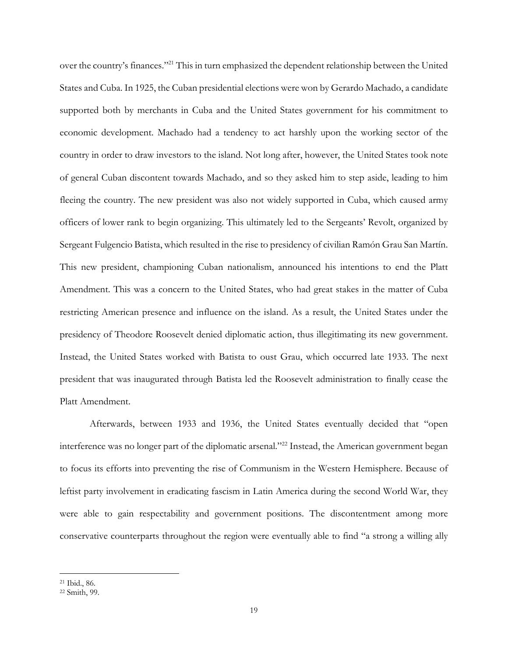over the country's finances."21 This in turn emphasized the dependent relationship between the United States and Cuba. In 1925, the Cuban presidential elections were won by Gerardo Machado, a candidate supported both by merchants in Cuba and the United States government for his commitment to economic development. Machado had a tendency to act harshly upon the working sector of the country in order to draw investors to the island. Not long after, however, the United States took note of general Cuban discontent towards Machado, and so they asked him to step aside, leading to him fleeing the country. The new president was also not widely supported in Cuba, which caused army officers of lower rank to begin organizing. This ultimately led to the Sergeants' Revolt, organized by Sergeant Fulgencio Batista, which resulted in the rise to presidency of civilian Ramón Grau San Martín. This new president, championing Cuban nationalism, announced his intentions to end the Platt Amendment. This was a concern to the United States, who had great stakes in the matter of Cuba restricting American presence and influence on the island. As a result, the United States under the presidency of Theodore Roosevelt denied diplomatic action, thus illegitimating its new government. Instead, the United States worked with Batista to oust Grau, which occurred late 1933. The next president that was inaugurated through Batista led the Roosevelt administration to finally cease the Platt Amendment.

Afterwards, between 1933 and 1936, the United States eventually decided that "open interference was no longer part of the diplomatic arsenal."<sup>22</sup> Instead, the American government began to focus its efforts into preventing the rise of Communism in the Western Hemisphere. Because of leftist party involvement in eradicating fascism in Latin America during the second World War, they were able to gain respectability and government positions. The discontentment among more conservative counterparts throughout the region were eventually able to find "a strong a willing ally

<sup>21</sup> Ibid., 86.

<sup>22</sup> Smith, 99.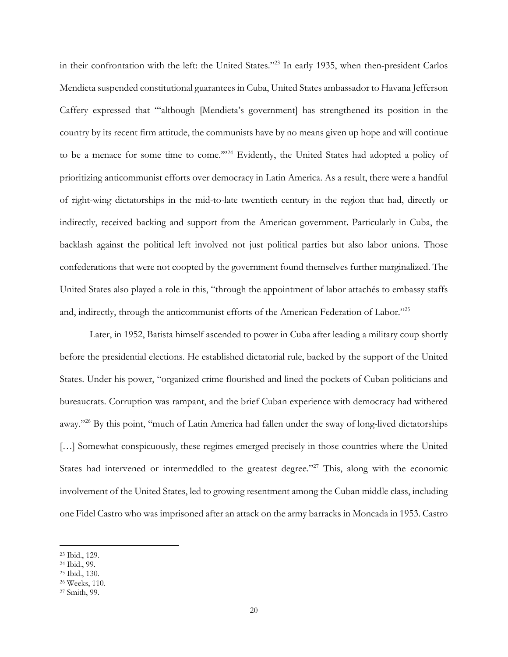in their confrontation with the left: the United States."23 In early 1935, when then-president Carlos Mendieta suspended constitutional guarantees in Cuba, United States ambassador to Havana Jefferson Caffery expressed that "'although [Mendieta's government] has strengthened its position in the country by its recent firm attitude, the communists have by no means given up hope and will continue to be a menace for some time to come."<sup>24</sup> Evidently, the United States had adopted a policy of prioritizing anticommunist efforts over democracy in Latin America. As a result, there were a handful of right-wing dictatorships in the mid-to-late twentieth century in the region that had, directly or indirectly, received backing and support from the American government. Particularly in Cuba, the backlash against the political left involved not just political parties but also labor unions. Those confederations that were not coopted by the government found themselves further marginalized. The United States also played a role in this, "through the appointment of labor attachés to embassy staffs and, indirectly, through the anticommunist efforts of the American Federation of Labor."25

Later, in 1952, Batista himself ascended to power in Cuba after leading a military coup shortly before the presidential elections. He established dictatorial rule, backed by the support of the United States. Under his power, "organized crime flourished and lined the pockets of Cuban politicians and bureaucrats. Corruption was rampant, and the brief Cuban experience with democracy had withered away."26 By this point, "much of Latin America had fallen under the sway of long-lived dictatorships [...] Somewhat conspicuously, these regimes emerged precisely in those countries where the United States had intervened or intermeddled to the greatest degree."<sup>27</sup> This, along with the economic involvement of the United States, led to growing resentment among the Cuban middle class, including one Fidel Castro who was imprisoned after an attack on the army barracks in Moncada in 1953. Castro

<sup>23</sup> Ibid., 129.

<sup>24</sup> Ibid., 99.

<sup>25</sup> Ibid., 130.

<sup>26</sup> Weeks, 110.

<sup>27</sup> Smith, 99.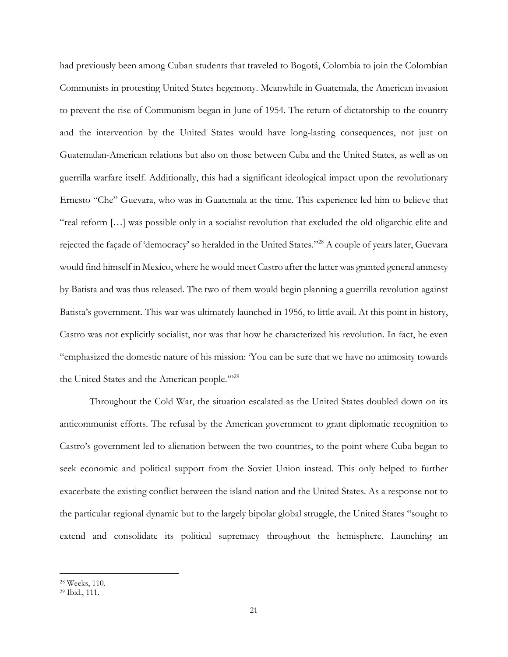had previously been among Cuban students that traveled to Bogotá, Colombia to join the Colombian Communists in protesting United States hegemony. Meanwhile in Guatemala, the American invasion to prevent the rise of Communism began in June of 1954. The return of dictatorship to the country and the intervention by the United States would have long-lasting consequences, not just on Guatemalan-American relations but also on those between Cuba and the United States, as well as on guerrilla warfare itself. Additionally, this had a significant ideological impact upon the revolutionary Ernesto "Che" Guevara, who was in Guatemala at the time. This experience led him to believe that "real reform […] was possible only in a socialist revolution that excluded the old oligarchic elite and rejected the façade of 'democracy' so heralded in the United States."28 A couple of years later, Guevara would find himself in Mexico, where he would meet Castro after the latter was granted general amnesty by Batista and was thus released. The two of them would begin planning a guerrilla revolution against Batista's government. This war was ultimately launched in 1956, to little avail. At this point in history, Castro was not explicitly socialist, nor was that how he characterized his revolution. In fact, he even "emphasized the domestic nature of his mission: 'You can be sure that we have no animosity towards the United States and the American people."<sup>29</sup>

Throughout the Cold War, the situation escalated as the United States doubled down on its anticommunist efforts. The refusal by the American government to grant diplomatic recognition to Castro's government led to alienation between the two countries, to the point where Cuba began to seek economic and political support from the Soviet Union instead. This only helped to further exacerbate the existing conflict between the island nation and the United States. As a response not to the particular regional dynamic but to the largely bipolar global struggle, the United States "sought to extend and consolidate its political supremacy throughout the hemisphere. Launching an

<sup>28</sup> Weeks, 110.

<sup>29</sup> Ibid., 111.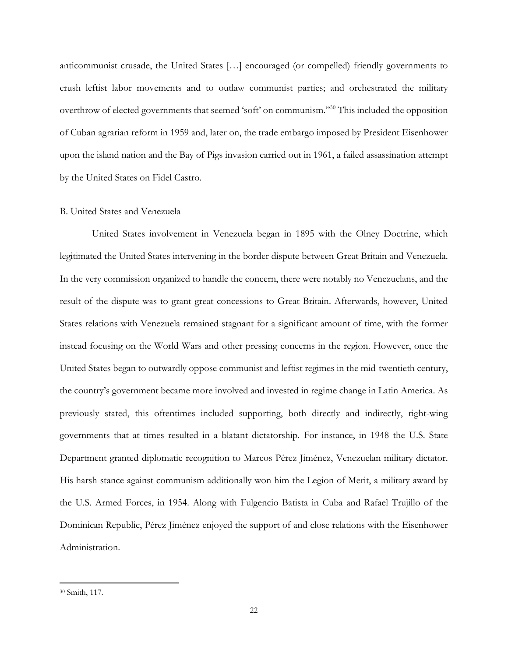anticommunist crusade, the United States […] encouraged (or compelled) friendly governments to crush leftist labor movements and to outlaw communist parties; and orchestrated the military overthrow of elected governments that seemed 'soft' on communism."30 This included the opposition of Cuban agrarian reform in 1959 and, later on, the trade embargo imposed by President Eisenhower upon the island nation and the Bay of Pigs invasion carried out in 1961, a failed assassination attempt by the United States on Fidel Castro.

#### B. United States and Venezuela

United States involvement in Venezuela began in 1895 with the Olney Doctrine, which legitimated the United States intervening in the border dispute between Great Britain and Venezuela. In the very commission organized to handle the concern, there were notably no Venezuelans, and the result of the dispute was to grant great concessions to Great Britain. Afterwards, however, United States relations with Venezuela remained stagnant for a significant amount of time, with the former instead focusing on the World Wars and other pressing concerns in the region. However, once the United States began to outwardly oppose communist and leftist regimes in the mid-twentieth century, the country's government became more involved and invested in regime change in Latin America. As previously stated, this oftentimes included supporting, both directly and indirectly, right-wing governments that at times resulted in a blatant dictatorship. For instance, in 1948 the U.S. State Department granted diplomatic recognition to Marcos Pérez Jiménez, Venezuelan military dictator. His harsh stance against communism additionally won him the Legion of Merit, a military award by the U.S. Armed Forces, in 1954. Along with Fulgencio Batista in Cuba and Rafael Trujillo of the Dominican Republic, Pérez Jiménez enjoyed the support of and close relations with the Eisenhower Administration.

<sup>30</sup> Smith, 117.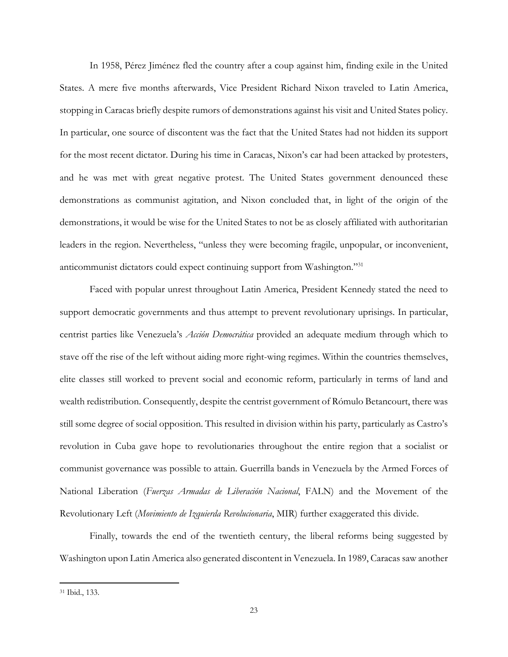In 1958, Pérez Jiménez fled the country after a coup against him, finding exile in the United States. A mere five months afterwards, Vice President Richard Nixon traveled to Latin America, stopping in Caracas briefly despite rumors of demonstrations against his visit and United States policy. In particular, one source of discontent was the fact that the United States had not hidden its support for the most recent dictator. During his time in Caracas, Nixon's car had been attacked by protesters, and he was met with great negative protest. The United States government denounced these demonstrations as communist agitation, and Nixon concluded that, in light of the origin of the demonstrations, it would be wise for the United States to not be as closely affiliated with authoritarian leaders in the region. Nevertheless, "unless they were becoming fragile, unpopular, or inconvenient, anticommunist dictators could expect continuing support from Washington."31

Faced with popular unrest throughout Latin America, President Kennedy stated the need to support democratic governments and thus attempt to prevent revolutionary uprisings. In particular, centrist parties like Venezuela's *Acción Democrática* provided an adequate medium through which to stave off the rise of the left without aiding more right-wing regimes. Within the countries themselves, elite classes still worked to prevent social and economic reform, particularly in terms of land and wealth redistribution. Consequently, despite the centrist government of Rómulo Betancourt, there was still some degree of social opposition. This resulted in division within his party, particularly as Castro's revolution in Cuba gave hope to revolutionaries throughout the entire region that a socialist or communist governance was possible to attain. Guerrilla bands in Venezuela by the Armed Forces of National Liberation (*Fuerzas Armadas de Liberación Nacional*, FALN) and the Movement of the Revolutionary Left (*Movimiento de Izquierda Revolucionaria*, MIR) further exaggerated this divide.

Finally, towards the end of the twentieth century, the liberal reforms being suggested by Washington upon Latin America also generated discontent in Venezuela. In 1989, Caracas saw another

<sup>31</sup> Ibid., 133.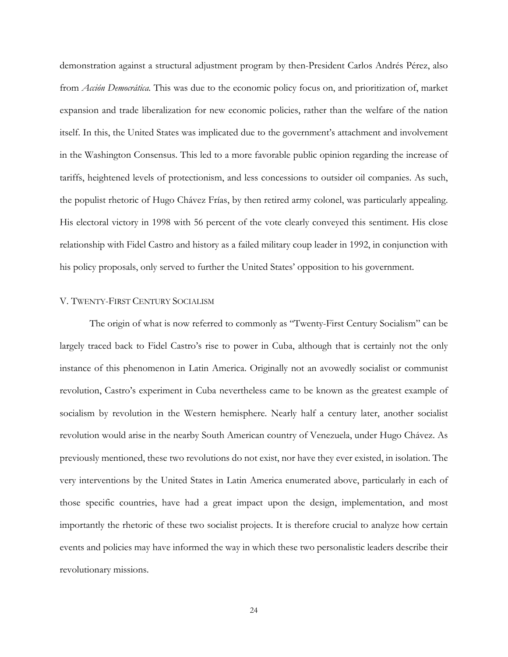demonstration against a structural adjustment program by then-President Carlos Andrés Pérez, also from *Acción Democrática.* This was due to the economic policy focus on, and prioritization of, market expansion and trade liberalization for new economic policies, rather than the welfare of the nation itself. In this, the United States was implicated due to the government's attachment and involvement in the Washington Consensus. This led to a more favorable public opinion regarding the increase of tariffs, heightened levels of protectionism, and less concessions to outsider oil companies. As such, the populist rhetoric of Hugo Chávez Frías, by then retired army colonel, was particularly appealing. His electoral victory in 1998 with 56 percent of the vote clearly conveyed this sentiment. His close relationship with Fidel Castro and history as a failed military coup leader in 1992, in conjunction with his policy proposals, only served to further the United States' opposition to his government.

#### V. TWENTY-FIRST CENTURY SOCIALISM

The origin of what is now referred to commonly as "Twenty-First Century Socialism" can be largely traced back to Fidel Castro's rise to power in Cuba, although that is certainly not the only instance of this phenomenon in Latin America. Originally not an avowedly socialist or communist revolution, Castro's experiment in Cuba nevertheless came to be known as the greatest example of socialism by revolution in the Western hemisphere. Nearly half a century later, another socialist revolution would arise in the nearby South American country of Venezuela, under Hugo Chávez. As previously mentioned, these two revolutions do not exist, nor have they ever existed, in isolation. The very interventions by the United States in Latin America enumerated above, particularly in each of those specific countries, have had a great impact upon the design, implementation, and most importantly the rhetoric of these two socialist projects. It is therefore crucial to analyze how certain events and policies may have informed the way in which these two personalistic leaders describe their revolutionary missions.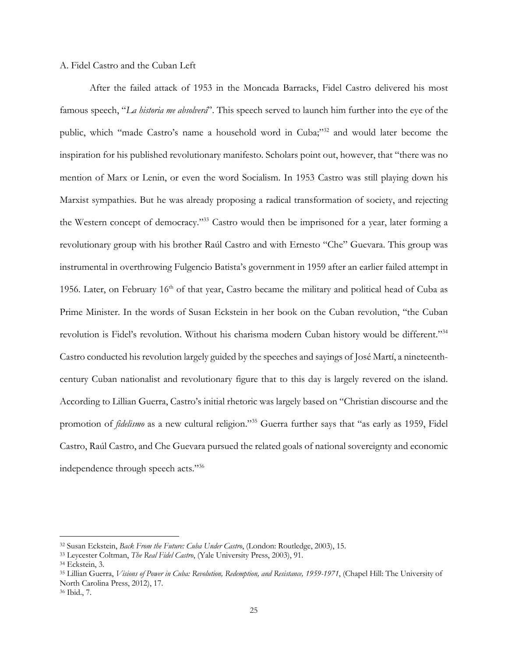#### A. Fidel Castro and the Cuban Left

After the failed attack of 1953 in the Moncada Barracks, Fidel Castro delivered his most famous speech, "*La historia me absolverá*". This speech served to launch him further into the eye of the public, which "made Castro's name a household word in Cuba;"<sup>32</sup> and would later become the inspiration for his published revolutionary manifesto. Scholars point out, however, that "there was no mention of Marx or Lenin, or even the word Socialism. In 1953 Castro was still playing down his Marxist sympathies. But he was already proposing a radical transformation of society, and rejecting the Western concept of democracy."33 Castro would then be imprisoned for a year, later forming a revolutionary group with his brother Raúl Castro and with Ernesto "Che" Guevara. This group was instrumental in overthrowing Fulgencio Batista's government in 1959 after an earlier failed attempt in 1956. Later, on February  $16<sup>th</sup>$  of that year, Castro became the military and political head of Cuba as Prime Minister. In the words of Susan Eckstein in her book on the Cuban revolution, "the Cuban revolution is Fidel's revolution. Without his charisma modern Cuban history would be different."34 Castro conducted his revolution largely guided by the speeches and sayings of José Martí, a nineteenthcentury Cuban nationalist and revolutionary figure that to this day is largely revered on the island. According to Lillian Guerra, Castro's initial rhetoric was largely based on "Christian discourse and the promotion of *fidelismo* as a new cultural religion."35 Guerra further says that "as early as 1959, Fidel Castro, Raúl Castro, and Che Guevara pursued the related goals of national sovereignty and economic independence through speech acts."36

<sup>32</sup> Susan Eckstein, *Back From the Future: Cuba Under Castro*, (London: Routledge, 2003), 15.

<sup>33</sup> Leycester Coltman, *The Real Fidel Castro*, (Yale University Press, 2003), 91.

<sup>34</sup> Eckstein, 3.

<sup>35</sup> Lillian Guerra, *Visions of Power in Cuba: Revolution, Redemption, and Resistance, 1959-1971*, (Chapel Hill: The University of North Carolina Press, 2012), 17.

<sup>36</sup> Ibid., 7.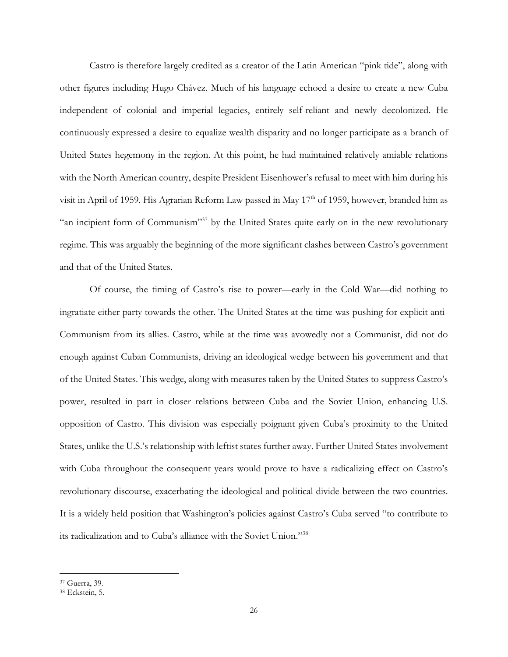Castro is therefore largely credited as a creator of the Latin American "pink tide", along with other figures including Hugo Chávez. Much of his language echoed a desire to create a new Cuba independent of colonial and imperial legacies, entirely self-reliant and newly decolonized. He continuously expressed a desire to equalize wealth disparity and no longer participate as a branch of United States hegemony in the region. At this point, he had maintained relatively amiable relations with the North American country, despite President Eisenhower's refusal to meet with him during his visit in April of 1959. His Agrarian Reform Law passed in May 17<sup>th</sup> of 1959, however, branded him as "an incipient form of Communism"37 by the United States quite early on in the new revolutionary regime. This was arguably the beginning of the more significant clashes between Castro's government and that of the United States.

Of course, the timing of Castro's rise to power—early in the Cold War—did nothing to ingratiate either party towards the other. The United States at the time was pushing for explicit anti-Communism from its allies. Castro, while at the time was avowedly not a Communist, did not do enough against Cuban Communists, driving an ideological wedge between his government and that of the United States. This wedge, along with measures taken by the United States to suppress Castro's power, resulted in part in closer relations between Cuba and the Soviet Union, enhancing U.S. opposition of Castro. This division was especially poignant given Cuba's proximity to the United States, unlike the U.S.'s relationship with leftist states further away. Further United States involvement with Cuba throughout the consequent years would prove to have a radicalizing effect on Castro's revolutionary discourse, exacerbating the ideological and political divide between the two countries. It is a widely held position that Washington's policies against Castro's Cuba served "to contribute to its radicalization and to Cuba's alliance with the Soviet Union."38

<sup>37</sup> Guerra, 39.

<sup>38</sup> Eckstein, 5.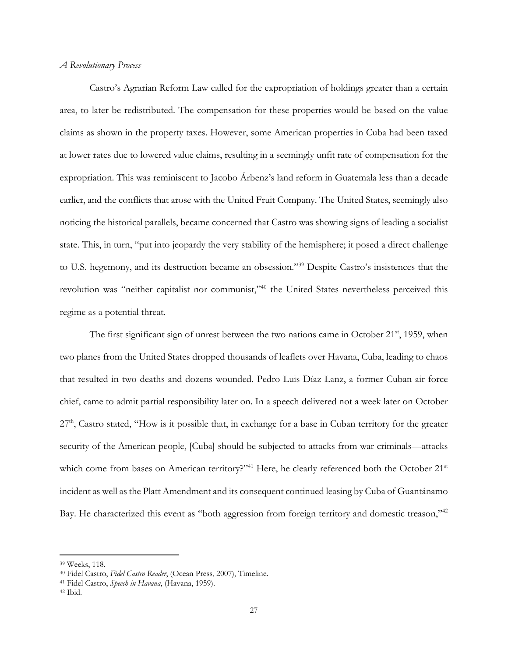#### *A Revolutionary Process*

Castro's Agrarian Reform Law called for the expropriation of holdings greater than a certain area, to later be redistributed. The compensation for these properties would be based on the value claims as shown in the property taxes. However, some American properties in Cuba had been taxed at lower rates due to lowered value claims, resulting in a seemingly unfit rate of compensation for the expropriation. This was reminiscent to Jacobo Árbenz's land reform in Guatemala less than a decade earlier, and the conflicts that arose with the United Fruit Company. The United States, seemingly also noticing the historical parallels, became concerned that Castro was showing signs of leading a socialist state. This, in turn, "put into jeopardy the very stability of the hemisphere; it posed a direct challenge to U.S. hegemony, and its destruction became an obsession."39 Despite Castro's insistences that the revolution was "neither capitalist nor communist,"40 the United States nevertheless perceived this regime as a potential threat.

The first significant sign of unrest between the two nations came in October  $21^{st}$ , 1959, when two planes from the United States dropped thousands of leaflets over Havana, Cuba, leading to chaos that resulted in two deaths and dozens wounded. Pedro Luis Díaz Lanz, a former Cuban air force chief, came to admit partial responsibility later on. In a speech delivered not a week later on October  $27<sup>th</sup>$ , Castro stated, "How is it possible that, in exchange for a base in Cuban territory for the greater security of the American people, [Cuba] should be subjected to attacks from war criminals—attacks which come from bases on American territory?"<sup>41</sup> Here, he clearly referenced both the October 21<sup>st</sup> incident as well as the Platt Amendment and its consequent continued leasing by Cuba of Guantánamo Bay. He characterized this event as "both aggression from foreign territory and domestic treason,"<sup>42</sup>

<sup>39</sup> Weeks, 118.

<sup>40</sup> Fidel Castro, *Fidel Castro Reader*, (Ocean Press, 2007), Timeline.

<sup>41</sup> Fidel Castro, *Speech in Havana*, (Havana, 1959).

<sup>42</sup> Ibid.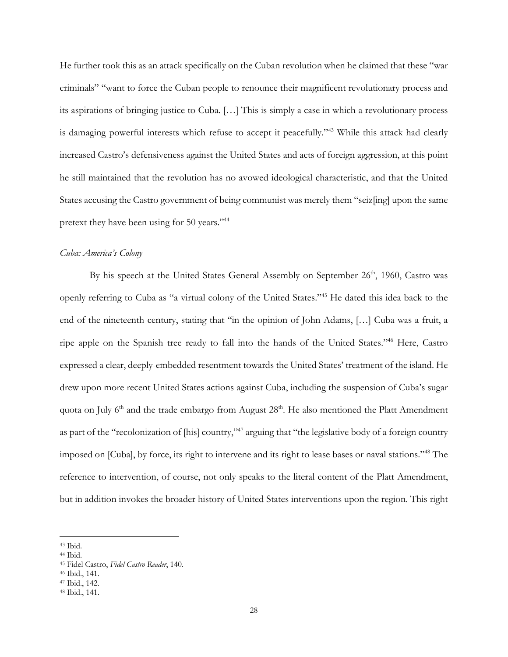He further took this as an attack specifically on the Cuban revolution when he claimed that these "war criminals" "want to force the Cuban people to renounce their magnificent revolutionary process and its aspirations of bringing justice to Cuba. […] This is simply a case in which a revolutionary process is damaging powerful interests which refuse to accept it peacefully."<sup>43</sup> While this attack had clearly increased Castro's defensiveness against the United States and acts of foreign aggression, at this point he still maintained that the revolution has no avowed ideological characteristic, and that the United States accusing the Castro government of being communist was merely them "seiz[ing] upon the same pretext they have been using for 50 years."44

### *Cuba: America's Colony*

By his speech at the United States General Assembly on September 26<sup>th</sup>, 1960, Castro was openly referring to Cuba as "a virtual colony of the United States."45 He dated this idea back to the end of the nineteenth century, stating that "in the opinion of John Adams, […] Cuba was a fruit, a ripe apple on the Spanish tree ready to fall into the hands of the United States."46 Here, Castro expressed a clear, deeply-embedded resentment towards the United States' treatment of the island. He drew upon more recent United States actions against Cuba, including the suspension of Cuba's sugar quota on July  $6<sup>th</sup>$  and the trade embargo from August  $28<sup>th</sup>$ . He also mentioned the Platt Amendment as part of the "recolonization of [his] country,"47 arguing that "the legislative body of a foreign country imposed on [Cuba], by force, its right to intervene and its right to lease bases or naval stations."48 The reference to intervention, of course, not only speaks to the literal content of the Platt Amendment, but in addition invokes the broader history of United States interventions upon the region. This right

<sup>43</sup> Ibid.

<sup>44</sup> Ibid.

<sup>45</sup> Fidel Castro, *Fidel Castro Reader*, 140.

<sup>46</sup> Ibid., 141.

<sup>47</sup> Ibid., 142.

<sup>48</sup> Ibid., 141.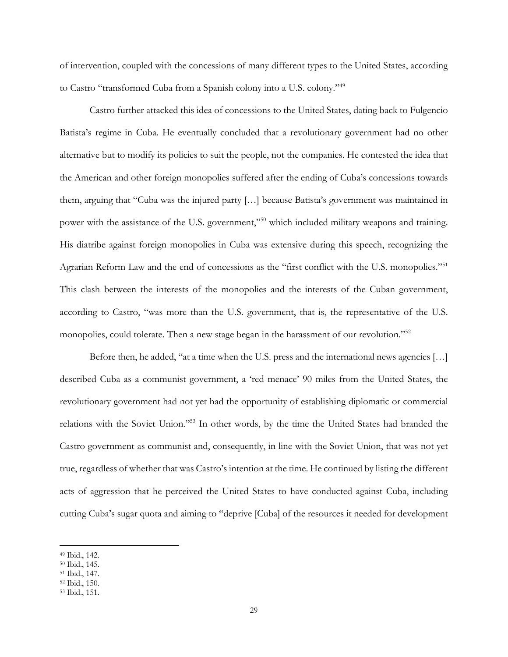of intervention, coupled with the concessions of many different types to the United States, according to Castro "transformed Cuba from a Spanish colony into a U.S. colony."49

Castro further attacked this idea of concessions to the United States, dating back to Fulgencio Batista's regime in Cuba. He eventually concluded that a revolutionary government had no other alternative but to modify its policies to suit the people, not the companies. He contested the idea that the American and other foreign monopolies suffered after the ending of Cuba's concessions towards them, arguing that "Cuba was the injured party […] because Batista's government was maintained in power with the assistance of the U.S. government,"<sup>50</sup> which included military weapons and training. His diatribe against foreign monopolies in Cuba was extensive during this speech, recognizing the Agrarian Reform Law and the end of concessions as the "first conflict with the U.S. monopolies."51 This clash between the interests of the monopolies and the interests of the Cuban government, according to Castro, "was more than the U.S. government, that is, the representative of the U.S. monopolies, could tolerate. Then a new stage began in the harassment of our revolution."<sup>52</sup>

Before then, he added, "at a time when the U.S. press and the international news agencies [...] described Cuba as a communist government, a 'red menace' 90 miles from the United States, the revolutionary government had not yet had the opportunity of establishing diplomatic or commercial relations with the Soviet Union."53 In other words, by the time the United States had branded the Castro government as communist and, consequently, in line with the Soviet Union, that was not yet true, regardless of whether that was Castro's intention at the time. He continued by listing the different acts of aggression that he perceived the United States to have conducted against Cuba, including cutting Cuba's sugar quota and aiming to "deprive [Cuba] of the resources it needed for development

<sup>49</sup> Ibid., 142.

<sup>50</sup> Ibid., 145.

<sup>51</sup> Ibid., 147.

<sup>52</sup> Ibid., 150.

<sup>53</sup> Ibid., 151.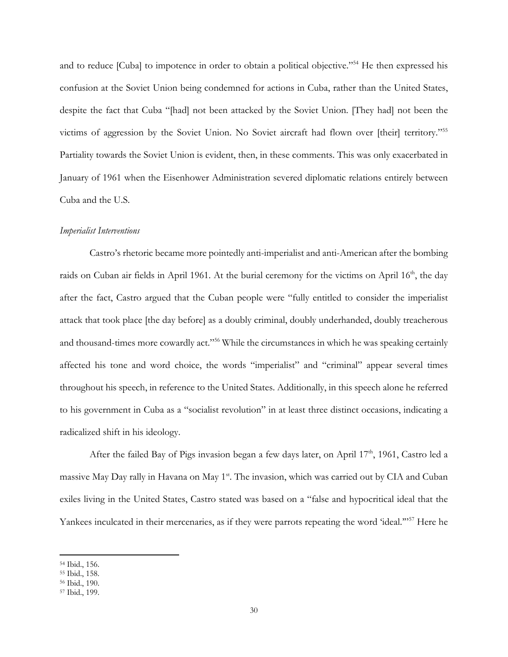and to reduce [Cuba] to impotence in order to obtain a political objective."54 He then expressed his confusion at the Soviet Union being condemned for actions in Cuba, rather than the United States, despite the fact that Cuba "[had] not been attacked by the Soviet Union. [They had] not been the victims of aggression by the Soviet Union. No Soviet aircraft had flown over [their] territory."55 Partiality towards the Soviet Union is evident, then, in these comments. This was only exacerbated in January of 1961 when the Eisenhower Administration severed diplomatic relations entirely between Cuba and the U.S.

#### *Imperialist Interventions*

Castro's rhetoric became more pointedly anti-imperialist and anti-American after the bombing raids on Cuban air fields in April 1961. At the burial ceremony for the victims on April 16<sup>th</sup>, the day after the fact, Castro argued that the Cuban people were "fully entitled to consider the imperialist attack that took place [the day before] as a doubly criminal, doubly underhanded, doubly treacherous and thousand-times more cowardly act."56 While the circumstances in which he was speaking certainly affected his tone and word choice, the words "imperialist" and "criminal" appear several times throughout his speech, in reference to the United States. Additionally, in this speech alone he referred to his government in Cuba as a "socialist revolution" in at least three distinct occasions, indicating a radicalized shift in his ideology.

After the failed Bay of Pigs invasion began a few days later, on April  $17<sup>th</sup>$ , 1961, Castro led a massive May Day rally in Havana on May 1<sup>st</sup>. The invasion, which was carried out by CIA and Cuban exiles living in the United States, Castro stated was based on a "false and hypocritical ideal that the Yankees inculcated in their mercenaries, as if they were parrots repeating the word 'ideal."<sup>57</sup> Here he

<sup>54</sup> Ibid., 156.

<sup>55</sup> Ibid., 158.

<sup>56</sup> Ibid., 190.

<sup>57</sup> Ibid., 199.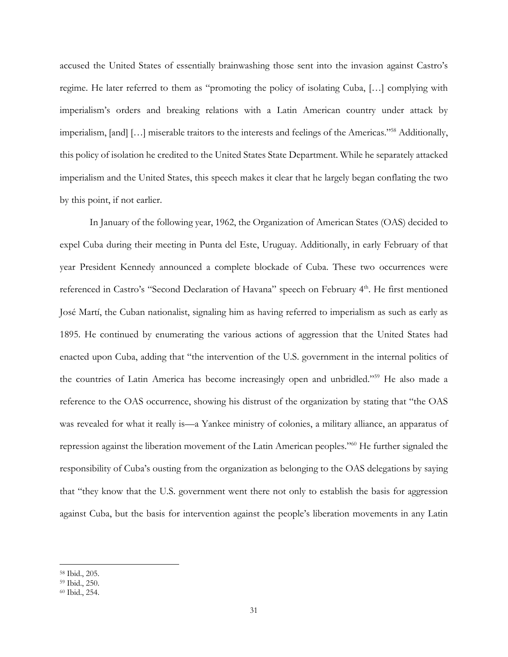accused the United States of essentially brainwashing those sent into the invasion against Castro's regime. He later referred to them as "promoting the policy of isolating Cuba, […] complying with imperialism's orders and breaking relations with a Latin American country under attack by imperialism, [and] […] miserable traitors to the interests and feelings of the Americas."58 Additionally, this policy of isolation he credited to the United States State Department. While he separately attacked imperialism and the United States, this speech makes it clear that he largely began conflating the two by this point, if not earlier.

In January of the following year, 1962, the Organization of American States (OAS) decided to expel Cuba during their meeting in Punta del Este, Uruguay. Additionally, in early February of that year President Kennedy announced a complete blockade of Cuba. These two occurrences were referenced in Castro's "Second Declaration of Havana" speech on February 4<sup>th</sup>. He first mentioned José Martí, the Cuban nationalist, signaling him as having referred to imperialism as such as early as 1895. He continued by enumerating the various actions of aggression that the United States had enacted upon Cuba, adding that "the intervention of the U.S. government in the internal politics of the countries of Latin America has become increasingly open and unbridled."59 He also made a reference to the OAS occurrence, showing his distrust of the organization by stating that "the OAS was revealed for what it really is—a Yankee ministry of colonies, a military alliance, an apparatus of repression against the liberation movement of the Latin American peoples."60 He further signaled the responsibility of Cuba's ousting from the organization as belonging to the OAS delegations by saying that "they know that the U.S. government went there not only to establish the basis for aggression against Cuba, but the basis for intervention against the people's liberation movements in any Latin

<sup>58</sup> Ibid., 205.

<sup>59</sup> Ibid., 250.

<sup>60</sup> Ibid., 254.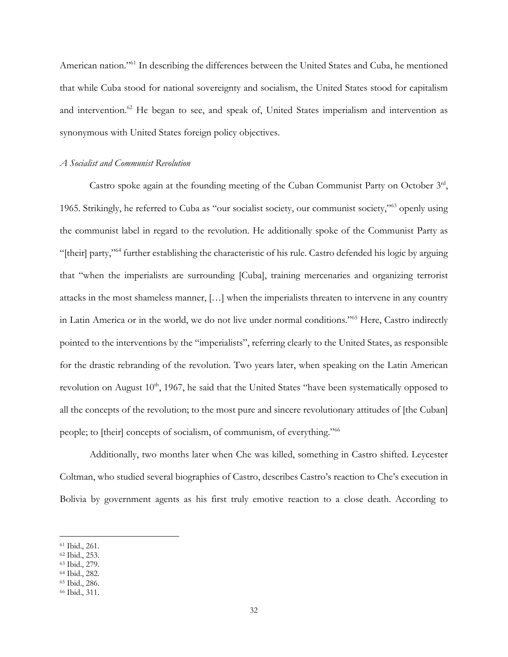American nation."<sup>61</sup> In describing the differences between the United States and Cuba, he mentioned that while Cuba stood for national sovereignty and socialism, the United States stood for capitalism and intervention.<sup>62</sup> He began to see, and speak of, United States imperialism and intervention as synonymous with United States foreign policy objectives.

#### *A Socialist and Communist Revolution*

Castro spoke again at the founding meeting of the Cuban Communist Party on October 3rd, 1965. Strikingly, he referred to Cuba as "our socialist society, our communist society,"63 openly using the communist label in regard to the revolution. He additionally spoke of the Communist Party as "[their] party,"64 further establishing the characteristic of his rule. Castro defended his logic by arguing that "when the imperialists are surrounding [Cuba], training mercenaries and organizing terrorist attacks in the most shameless manner, […] when the imperialists threaten to intervene in any country in Latin America or in the world, we do not live under normal conditions."65 Here, Castro indirectly pointed to the interventions by the "imperialists", referring clearly to the United States, as responsible for the drastic rebranding of the revolution. Two years later, when speaking on the Latin American revolution on August 10<sup>th</sup>, 1967, he said that the United States "have been systematically opposed to all the concepts of the revolution; to the most pure and sincere revolutionary attitudes of [the Cuban] people; to [their] concepts of socialism, of communism, of everything."66

Additionally, two months later when Che was killed, something in Castro shifted. Leycester Coltman, who studied several biographies of Castro, describes Castro's reaction to Che's execution in Bolivia by government agents as his first truly emotive reaction to a close death. According to

 $\overline{a}$ 

- <sup>62</sup> Ibid., 253.
- <sup>63</sup> Ibid., 279.

<sup>65</sup> Ibid., 286.

<sup>61</sup> Ibid., 261.

<sup>64</sup> Ibid., 282.

<sup>66</sup> Ibid., 311.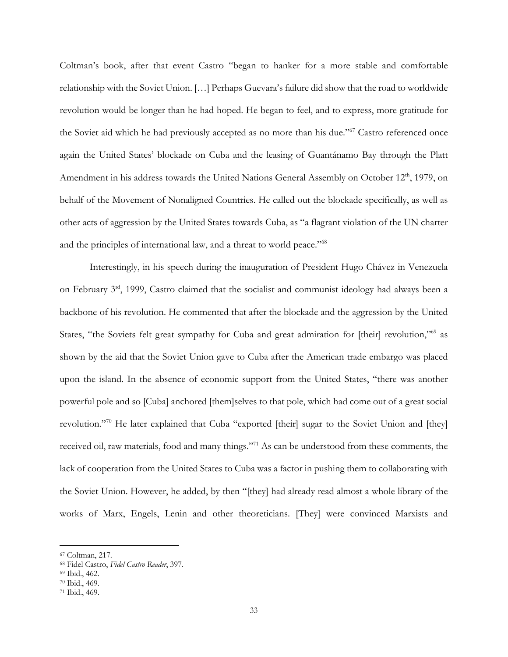Coltman's book, after that event Castro "began to hanker for a more stable and comfortable relationship with the Soviet Union. […] Perhaps Guevara's failure did show that the road to worldwide revolution would be longer than he had hoped. He began to feel, and to express, more gratitude for the Soviet aid which he had previously accepted as no more than his due."67 Castro referenced once again the United States' blockade on Cuba and the leasing of Guantánamo Bay through the Platt Amendment in his address towards the United Nations General Assembly on October 12<sup>th</sup>, 1979, on behalf of the Movement of Nonaligned Countries. He called out the blockade specifically, as well as other acts of aggression by the United States towards Cuba, as "a flagrant violation of the UN charter and the principles of international law, and a threat to world peace."68

Interestingly, in his speech during the inauguration of President Hugo Chávez in Venezuela on February 3rd, 1999, Castro claimed that the socialist and communist ideology had always been a backbone of his revolution. He commented that after the blockade and the aggression by the United States, "the Soviets felt great sympathy for Cuba and great admiration for [their] revolution,"<sup>69</sup> as shown by the aid that the Soviet Union gave to Cuba after the American trade embargo was placed upon the island. In the absence of economic support from the United States, "there was another powerful pole and so [Cuba] anchored [them]selves to that pole, which had come out of a great social revolution."<sup>70</sup> He later explained that Cuba "exported [their] sugar to the Soviet Union and [they] received oil, raw materials, food and many things."71 As can be understood from these comments, the lack of cooperation from the United States to Cuba was a factor in pushing them to collaborating with the Soviet Union. However, he added, by then "[they] had already read almost a whole library of the works of Marx, Engels, Lenin and other theoreticians. [They] were convinced Marxists and

 $\overline{\phantom{a}}$ 

<sup>67</sup> Coltman, 217.

<sup>68</sup> Fidel Castro, *Fidel Castro Reader*, 397.

<sup>69</sup> Ibid., 462.

<sup>70</sup> Ibid., 469.

<sup>71</sup> Ibid., 469.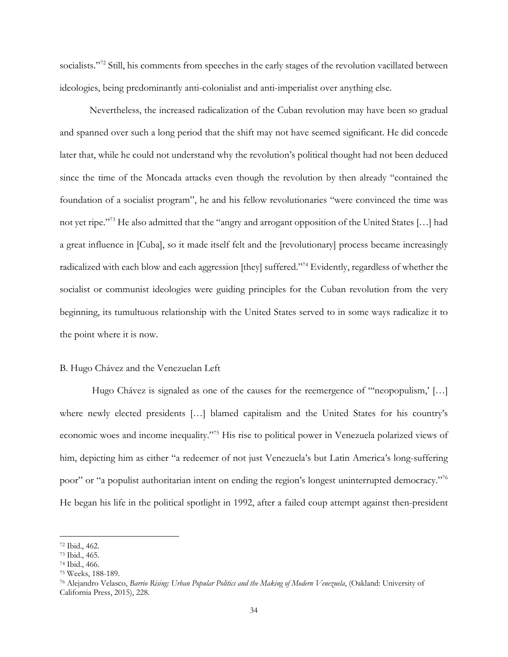socialists."<sup>72</sup> Still, his comments from speeches in the early stages of the revolution vacillated between ideologies, being predominantly anti-colonialist and anti-imperialist over anything else.

Nevertheless, the increased radicalization of the Cuban revolution may have been so gradual and spanned over such a long period that the shift may not have seemed significant. He did concede later that, while he could not understand why the revolution's political thought had not been deduced since the time of the Moncada attacks even though the revolution by then already "contained the foundation of a socialist program", he and his fellow revolutionaries "were convinced the time was not yet ripe."73 He also admitted that the "angry and arrogant opposition of the United States […] had a great influence in [Cuba], so it made itself felt and the [revolutionary] process became increasingly radicalized with each blow and each aggression [they] suffered."74 Evidently, regardless of whether the socialist or communist ideologies were guiding principles for the Cuban revolution from the very beginning, its tumultuous relationship with the United States served to in some ways radicalize it to the point where it is now.

#### B. Hugo Chávez and the Venezuelan Left

Hugo Chávez is signaled as one of the causes for the reemergence of "neopopulism,' [...] where newly elected presidents […] blamed capitalism and the United States for his country's economic woes and income inequality."75 His rise to political power in Venezuela polarized views of him, depicting him as either "a redeemer of not just Venezuela's but Latin America's long-suffering poor" or "a populist authoritarian intent on ending the region's longest uninterrupted democracy."76 He began his life in the political spotlight in 1992, after a failed coup attempt against then-president

<sup>72</sup> Ibid., 462.

<sup>73</sup> Ibid., 465.

<sup>74</sup> Ibid., 466.

<sup>75</sup> Weeks, 188-189.

<sup>76</sup> Alejandro Velasco, *Barrio Rising: Urban Popular Politics and the Making of Modern Venezuela*, (Oakland: University of California Press, 2015), 228.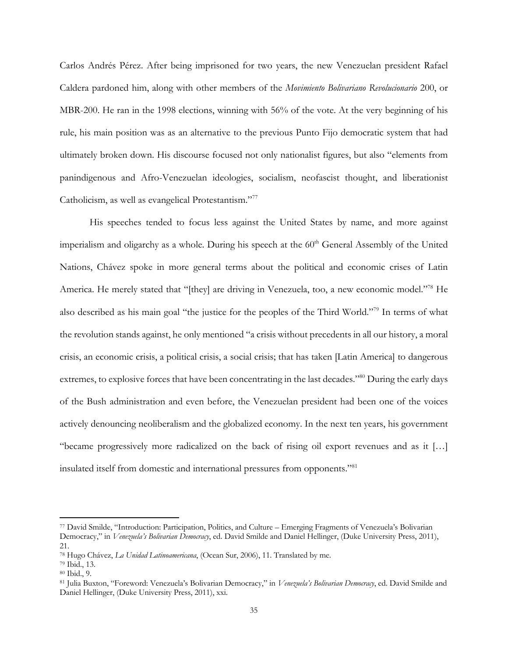Carlos Andrés Pérez. After being imprisoned for two years, the new Venezuelan president Rafael Caldera pardoned him, along with other members of the *Movimiento Bolivariano Revolucionario* 200, or MBR-200. He ran in the 1998 elections, winning with 56% of the vote. At the very beginning of his rule, his main position was as an alternative to the previous Punto Fijo democratic system that had ultimately broken down. His discourse focused not only nationalist figures, but also "elements from panindigenous and Afro-Venezuelan ideologies, socialism, neofascist thought, and liberationist Catholicism, as well as evangelical Protestantism."77

His speeches tended to focus less against the United States by name, and more against imperialism and oligarchy as a whole. During his speech at the 60<sup>th</sup> General Assembly of the United Nations, Chávez spoke in more general terms about the political and economic crises of Latin America. He merely stated that "[they] are driving in Venezuela, too, a new economic model."78 He also described as his main goal "the justice for the peoples of the Third World."79 In terms of what the revolution stands against, he only mentioned "a crisis without precedents in all our history, a moral crisis, an economic crisis, a political crisis, a social crisis; that has taken [Latin America] to dangerous extremes, to explosive forces that have been concentrating in the last decades."80 During the early days of the Bush administration and even before, the Venezuelan president had been one of the voices actively denouncing neoliberalism and the globalized economy. In the next ten years, his government "became progressively more radicalized on the back of rising oil export revenues and as it […] insulated itself from domestic and international pressures from opponents."81

<sup>77</sup> David Smilde, "Introduction: Participation, Politics, and Culture – Emerging Fragments of Venezuela's Bolivarian Democracy," in *Venezuela's Bolivarian Democracy*, ed. David Smilde and Daniel Hellinger, (Duke University Press, 2011), 21.

<sup>78</sup> Hugo Chávez, *La Unidad Latinoamericana*, (Ocean Sur, 2006), 11. Translated by me. 79 Ibid., 13.

<sup>80</sup> Ibid., 9.

<sup>81</sup> Julia Buxton, "Foreword: Venezuela's Bolivarian Democracy," in *Venezuela's Bolivarian Democracy*, ed. David Smilde and Daniel Hellinger, (Duke University Press, 2011), xxi.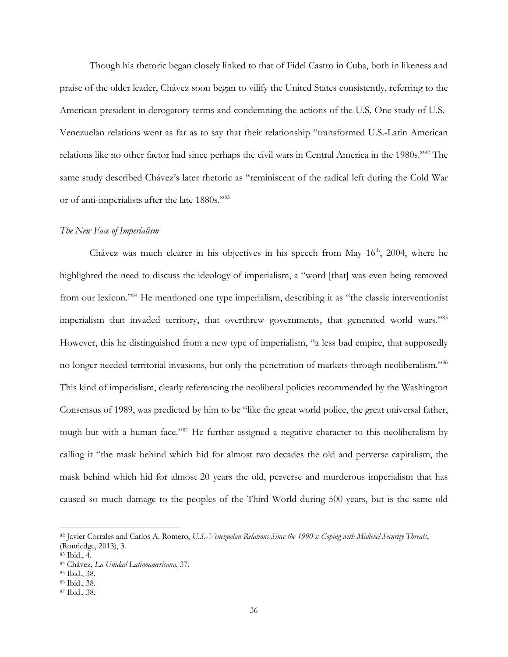Though his rhetoric began closely linked to that of Fidel Castro in Cuba, both in likeness and praise of the older leader, Chávez soon began to vilify the United States consistently, referring to the American president in derogatory terms and condemning the actions of the U.S. One study of U.S.- Venezuelan relations went as far as to say that their relationship "transformed U.S.-Latin American relations like no other factor had since perhaps the civil wars in Central America in the 1980s."82 The same study described Chávez's later rhetoric as "reminiscent of the radical left during the Cold War or of anti-imperialists after the late 1880s."83

#### *The New Face of Imperialism*

Chávez was much clearer in his objectives in his speech from May  $16<sup>th</sup>$ , 2004, where he highlighted the need to discuss the ideology of imperialism, a "word [that] was even being removed from our lexicon."84 He mentioned one type imperialism, describing it as "the classic interventionist imperialism that invaded territory, that overthrew governments, that generated world wars."85 However, this he distinguished from a new type of imperialism, "a less bad empire, that supposedly no longer needed territorial invasions, but only the penetration of markets through neoliberalism."86 This kind of imperialism, clearly referencing the neoliberal policies recommended by the Washington Consensus of 1989, was predicted by him to be "like the great world police, the great universal father, tough but with a human face."87 He further assigned a negative character to this neoliberalism by calling it "the mask behind which hid for almost two decades the old and perverse capitalism, the mask behind which hid for almost 20 years the old, perverse and murderous imperialism that has caused so much damage to the peoples of the Third World during 500 years, but is the same old

<sup>82</sup> Javier Corrales and Carlos A. Romero, *U.S.-Venezuelan Relations Since the 1990's: Coping with Midlevel Security Threats*, (Routledge, 2013), 3.

<sup>83</sup> Ibid., 4.

<sup>84</sup> Chávez, *La Unidad Latinoamericana*, 37.

<sup>85</sup> Ibid., 38.

<sup>86</sup> Ibid., 38.

<sup>87</sup> Ibid., 38.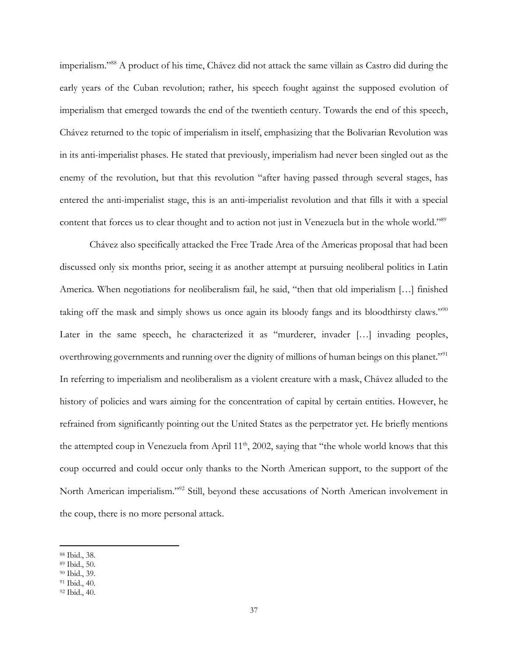imperialism."88 A product of his time, Chávez did not attack the same villain as Castro did during the early years of the Cuban revolution; rather, his speech fought against the supposed evolution of imperialism that emerged towards the end of the twentieth century. Towards the end of this speech, Chávez returned to the topic of imperialism in itself, emphasizing that the Bolivarian Revolution was in its anti-imperialist phases. He stated that previously, imperialism had never been singled out as the enemy of the revolution, but that this revolution "after having passed through several stages, has entered the anti-imperialist stage, this is an anti-imperialist revolution and that fills it with a special content that forces us to clear thought and to action not just in Venezuela but in the whole world."<sup>89</sup>

Chávez also specifically attacked the Free Trade Area of the Americas proposal that had been discussed only six months prior, seeing it as another attempt at pursuing neoliberal politics in Latin America. When negotiations for neoliberalism fail, he said, "then that old imperialism […] finished taking off the mask and simply shows us once again its bloody fangs and its bloodthirsty claws."90 Later in the same speech, he characterized it as "murderer, invader [...] invading peoples, overthrowing governments and running over the dignity of millions of human beings on this planet."<sup>91</sup> In referring to imperialism and neoliberalism as a violent creature with a mask, Chávez alluded to the history of policies and wars aiming for the concentration of capital by certain entities. However, he refrained from significantly pointing out the United States as the perpetrator yet. He briefly mentions the attempted coup in Venezuela from April 11<sup>th</sup>, 2002, saying that "the whole world knows that this coup occurred and could occur only thanks to the North American support, to the support of the North American imperialism."92 Still, beyond these accusations of North American involvement in the coup, there is no more personal attack.

 $\overline{\phantom{a}}$ 

<sup>88</sup> Ibid., 38.

<sup>89</sup> Ibid., 50.

<sup>90</sup> Ibid., 39.

<sup>91</sup> Ibid., 40.

<sup>92</sup> Ibid., 40.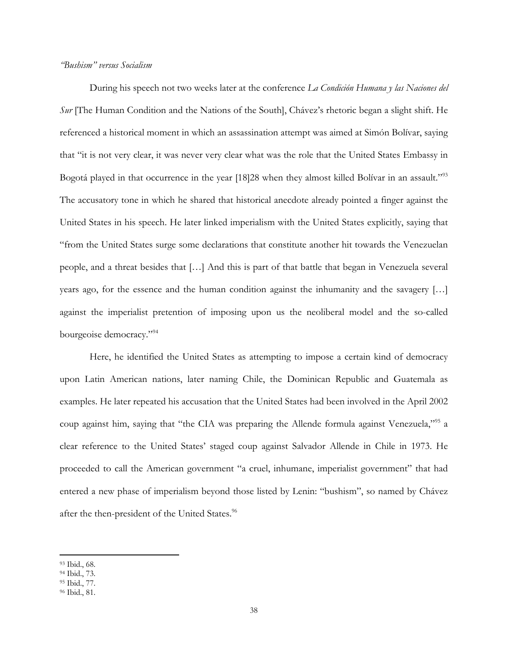#### *"Bushism" versus Socialism*

During his speech not two weeks later at the conference *La Condición Humana y las Naciones del Sur* [The Human Condition and the Nations of the South], Chávez's rhetoric began a slight shift. He referenced a historical moment in which an assassination attempt was aimed at Simón Bolívar, saying that "it is not very clear, it was never very clear what was the role that the United States Embassy in Bogotá played in that occurrence in the year [18]28 when they almost killed Bolívar in an assault."<sup>93</sup> The accusatory tone in which he shared that historical anecdote already pointed a finger against the United States in his speech. He later linked imperialism with the United States explicitly, saying that "from the United States surge some declarations that constitute another hit towards the Venezuelan people, and a threat besides that […] And this is part of that battle that began in Venezuela several years ago, for the essence and the human condition against the inhumanity and the savagery […] against the imperialist pretention of imposing upon us the neoliberal model and the so-called bourgeoise democracy."94

Here, he identified the United States as attempting to impose a certain kind of democracy upon Latin American nations, later naming Chile, the Dominican Republic and Guatemala as examples. He later repeated his accusation that the United States had been involved in the April 2002 coup against him, saying that "the CIA was preparing the Allende formula against Venezuela,"95 a clear reference to the United States' staged coup against Salvador Allende in Chile in 1973. He proceeded to call the American government "a cruel, inhumane, imperialist government" that had entered a new phase of imperialism beyond those listed by Lenin: "bushism", so named by Chávez after the then-president of the United States.<sup>96</sup>

<sup>93</sup> Ibid., 68.

<sup>94</sup> Ibid., 73.

<sup>95</sup> Ibid., 77.

<sup>96</sup> Ibid., 81.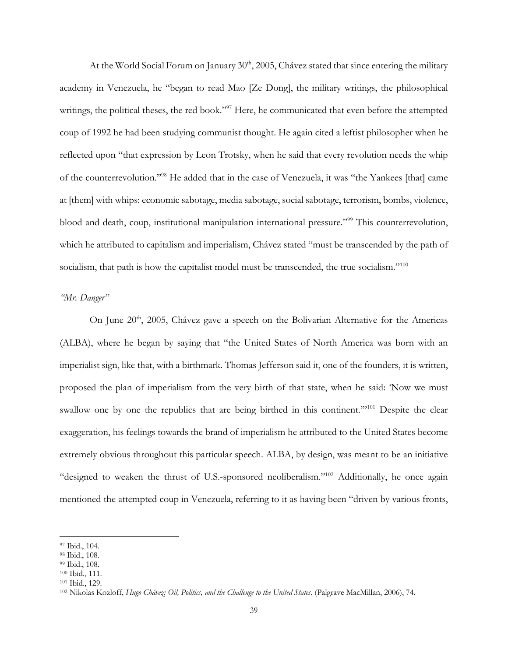At the World Social Forum on January  $30<sup>th</sup>$ ,  $2005$ , Chávez stated that since entering the military academy in Venezuela, he "began to read Mao [Ze Dong], the military writings, the philosophical writings, the political theses, the red book."<sup>97</sup> Here, he communicated that even before the attempted coup of 1992 he had been studying communist thought. He again cited a leftist philosopher when he reflected upon "that expression by Leon Trotsky, when he said that every revolution needs the whip of the counterrevolution."98 He added that in the case of Venezuela, it was "the Yankees [that] came at [them] with whips: economic sabotage, media sabotage, social sabotage, terrorism, bombs, violence, blood and death, coup, institutional manipulation international pressure."99 This counterrevolution, which he attributed to capitalism and imperialism, Chávez stated "must be transcended by the path of socialism, that path is how the capitalist model must be transcended, the true socialism."<sup>100</sup>

#### *"Mr. Danger"*

On June  $20<sup>th</sup>$ ,  $2005$ , Chávez gave a speech on the Bolivarian Alternative for the Americas (ALBA), where he began by saying that "the United States of North America was born with an imperialist sign, like that, with a birthmark. Thomas Jefferson said it, one of the founders, it is written, proposed the plan of imperialism from the very birth of that state, when he said: 'Now we must swallow one by one the republics that are being birthed in this continent."<sup>101</sup> Despite the clear exaggeration, his feelings towards the brand of imperialism he attributed to the United States become extremely obvious throughout this particular speech. ALBA, by design, was meant to be an initiative "designed to weaken the thrust of U.S.-sponsored neoliberalism."102 Additionally, he once again mentioned the attempted coup in Venezuela, referring to it as having been "driven by various fronts,

<sup>97</sup> Ibid., 104.

<sup>98</sup> Ibid., 108.

<sup>99</sup> Ibid., 108.

<sup>100</sup> Ibid., 111.

<sup>101</sup> Ibid., 129.

<sup>102</sup> Nikolas Kozloff, *Hugo Chávez: Oil, Politics, and the Challenge to the United States*, (Palgrave MacMillan, 2006), 74.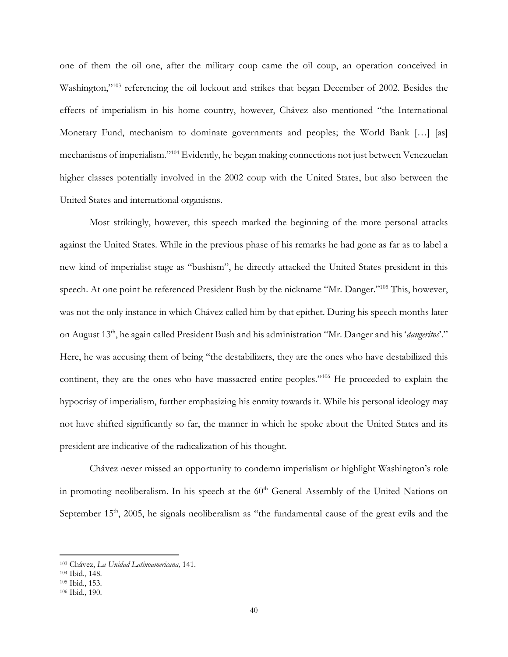one of them the oil one, after the military coup came the oil coup, an operation conceived in Washington,"103 referencing the oil lockout and strikes that began December of 2002. Besides the effects of imperialism in his home country, however, Chávez also mentioned "the International Monetary Fund, mechanism to dominate governments and peoples; the World Bank […] [as] mechanisms of imperialism."104 Evidently, he began making connections not just between Venezuelan higher classes potentially involved in the 2002 coup with the United States, but also between the United States and international organisms.

Most strikingly, however, this speech marked the beginning of the more personal attacks against the United States. While in the previous phase of his remarks he had gone as far as to label a new kind of imperialist stage as "bushism", he directly attacked the United States president in this speech. At one point he referenced President Bush by the nickname "Mr. Danger."105 This, however, was not the only instance in which Chávez called him by that epithet. During his speech months later on August 13th, he again called President Bush and his administration "Mr. Danger and his '*dangeritos*'." Here, he was accusing them of being "the destabilizers, they are the ones who have destabilized this continent, they are the ones who have massacred entire peoples."106 He proceeded to explain the hypocrisy of imperialism, further emphasizing his enmity towards it. While his personal ideology may not have shifted significantly so far, the manner in which he spoke about the United States and its president are indicative of the radicalization of his thought.

Chávez never missed an opportunity to condemn imperialism or highlight Washington's role in promoting neoliberalism. In his speech at the  $60<sup>th</sup>$  General Assembly of the United Nations on September  $15<sup>th</sup>$ , 2005, he signals neoliberalism as "the fundamental cause of the great evils and the

<sup>103</sup> Chávez, *La Unidad Latinoamericana,* 141.

<sup>104</sup> Ibid., 148.

<sup>105</sup> Ibid., 153.

<sup>106</sup> Ibid., 190.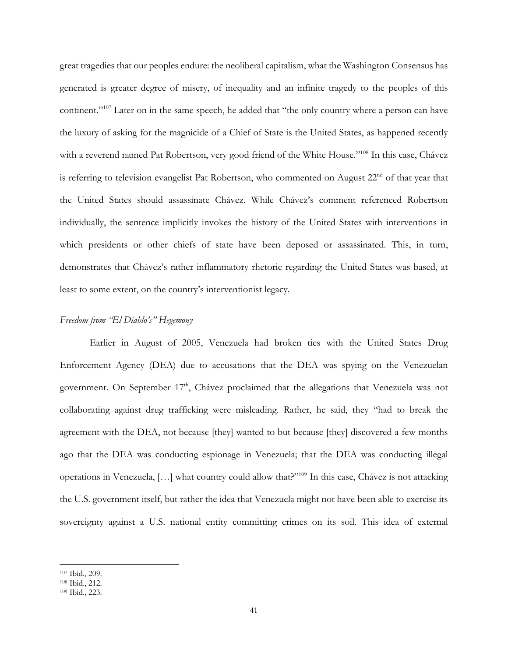great tragedies that our peoples endure: the neoliberal capitalism, what the Washington Consensus has generated is greater degree of misery, of inequality and an infinite tragedy to the peoples of this continent."107 Later on in the same speech, he added that "the only country where a person can have the luxury of asking for the magnicide of a Chief of State is the United States, as happened recently with a reverend named Pat Robertson, very good friend of the White House."<sup>108</sup> In this case, Chávez is referring to television evangelist Pat Robertson, who commented on August 22<sup>nd</sup> of that year that the United States should assassinate Chávez. While Chávez's comment referenced Robertson individually, the sentence implicitly invokes the history of the United States with interventions in which presidents or other chiefs of state have been deposed or assassinated. This, in turn, demonstrates that Chávez's rather inflammatory rhetoric regarding the United States was based, at least to some extent, on the country's interventionist legacy.

### *Freedom from "El Diablo's" Hegemony*

Earlier in August of 2005, Venezuela had broken ties with the United States Drug Enforcement Agency (DEA) due to accusations that the DEA was spying on the Venezuelan government. On September 17<sup>th</sup>, Chávez proclaimed that the allegations that Venezuela was not collaborating against drug trafficking were misleading. Rather, he said, they "had to break the agreement with the DEA, not because [they] wanted to but because [they] discovered a few months ago that the DEA was conducting espionage in Venezuela; that the DEA was conducting illegal operations in Venezuela, […] what country could allow that?"109 In this case, Chávez is not attacking the U.S. government itself, but rather the idea that Venezuela might not have been able to exercise its sovereignty against a U.S. national entity committing crimes on its soil. This idea of external

 $\overline{a}$ <sup>107</sup> Ibid., 209.

<sup>108</sup> Ibid., 212.

<sup>109</sup> Ibid., 223.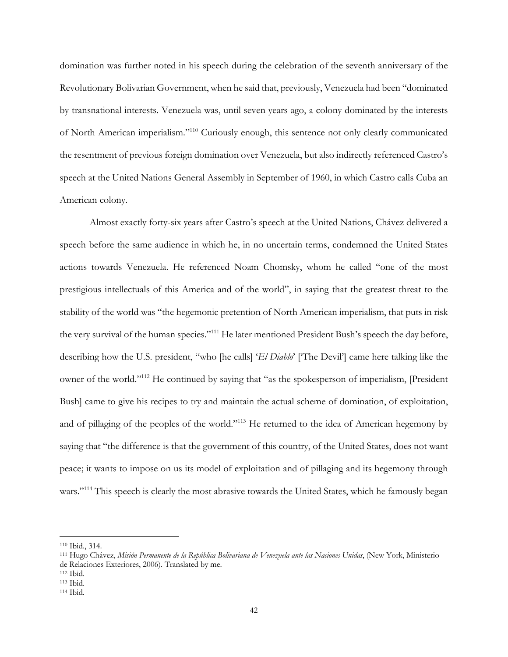domination was further noted in his speech during the celebration of the seventh anniversary of the Revolutionary Bolivarian Government, when he said that, previously, Venezuela had been "dominated by transnational interests. Venezuela was, until seven years ago, a colony dominated by the interests of North American imperialism."110 Curiously enough, this sentence not only clearly communicated the resentment of previous foreign domination over Venezuela, but also indirectly referenced Castro's speech at the United Nations General Assembly in September of 1960, in which Castro calls Cuba an American colony.

Almost exactly forty-six years after Castro's speech at the United Nations, Chávez delivered a speech before the same audience in which he, in no uncertain terms, condemned the United States actions towards Venezuela. He referenced Noam Chomsky, whom he called "one of the most prestigious intellectuals of this America and of the world", in saying that the greatest threat to the stability of the world was "the hegemonic pretention of North American imperialism, that puts in risk the very survival of the human species."111 He later mentioned President Bush's speech the day before, describing how the U.S. president, "who [he calls] '*El Diablo*' ['The Devil'] came here talking like the owner of the world."112 He continued by saying that "as the spokesperson of imperialism, [President Bush] came to give his recipes to try and maintain the actual scheme of domination, of exploitation, and of pillaging of the peoples of the world."113 He returned to the idea of American hegemony by saying that "the difference is that the government of this country, of the United States, does not want peace; it wants to impose on us its model of exploitation and of pillaging and its hegemony through wars."<sup>114</sup> This speech is clearly the most abrasive towards the United States, which he famously began

<sup>110</sup> Ibid., 314.

<sup>111</sup> Hugo Chávez, *Misión Permanente de la República Bolivariana de Venezuela ante las Naciones Unidas*, (New York, Ministerio de Relaciones Exteriores, 2006). Translated by me.

<sup>112</sup> Ibid.

<sup>113</sup> Ibid.

<sup>114</sup> Ibid*.*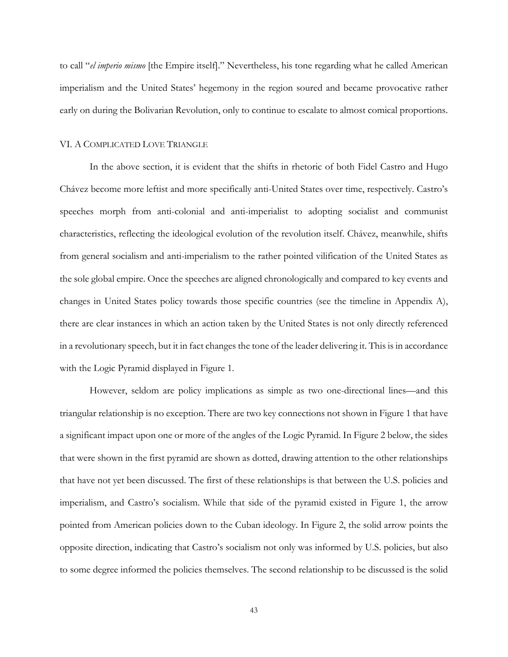to call "*el imperio mismo* [the Empire itself]." Nevertheless, his tone regarding what he called American imperialism and the United States' hegemony in the region soured and became provocative rather early on during the Bolivarian Revolution, only to continue to escalate to almost comical proportions.

#### VI. A COMPLICATED LOVE TRIANGLE

In the above section, it is evident that the shifts in rhetoric of both Fidel Castro and Hugo Chávez become more leftist and more specifically anti-United States over time, respectively. Castro's speeches morph from anti-colonial and anti-imperialist to adopting socialist and communist characteristics, reflecting the ideological evolution of the revolution itself. Chávez, meanwhile, shifts from general socialism and anti-imperialism to the rather pointed vilification of the United States as the sole global empire. Once the speeches are aligned chronologically and compared to key events and changes in United States policy towards those specific countries (see the timeline in Appendix A), there are clear instances in which an action taken by the United States is not only directly referenced in a revolutionary speech, but it in fact changes the tone of the leader delivering it. This is in accordance with the Logic Pyramid displayed in Figure 1.

However, seldom are policy implications as simple as two one-directional lines—and this triangular relationship is no exception. There are two key connections not shown in Figure 1 that have a significant impact upon one or more of the angles of the Logic Pyramid. In Figure 2 below, the sides that were shown in the first pyramid are shown as dotted, drawing attention to the other relationships that have not yet been discussed. The first of these relationships is that between the U.S. policies and imperialism, and Castro's socialism. While that side of the pyramid existed in Figure 1, the arrow pointed from American policies down to the Cuban ideology. In Figure 2, the solid arrow points the opposite direction, indicating that Castro's socialism not only was informed by U.S. policies, but also to some degree informed the policies themselves. The second relationship to be discussed is the solid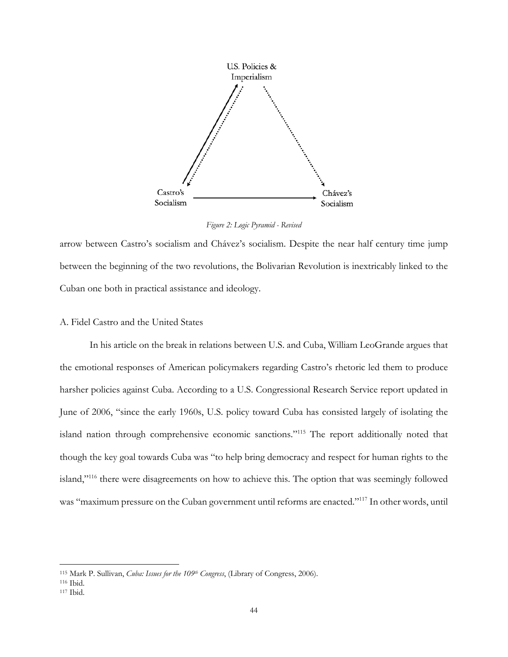

*Figure 2: Logic Pyramid - Revised*

arrow between Castro's socialism and Chávez's socialism. Despite the near half century time jump between the beginning of the two revolutions, the Bolivarian Revolution is inextricably linked to the Cuban one both in practical assistance and ideology.

#### A. Fidel Castro and the United States

In his article on the break in relations between U.S. and Cuba, William LeoGrande argues that the emotional responses of American policymakers regarding Castro's rhetoric led them to produce harsher policies against Cuba. According to a U.S. Congressional Research Service report updated in June of 2006, "since the early 1960s, U.S. policy toward Cuba has consisted largely of isolating the island nation through comprehensive economic sanctions."115 The report additionally noted that though the key goal towards Cuba was "to help bring democracy and respect for human rights to the island,"116 there were disagreements on how to achieve this. The option that was seemingly followed was "maximum pressure on the Cuban government until reforms are enacted."117 In other words, until

<sup>115</sup> Mark P. Sullivan, *Cuba: Issues for the 109th Congress*, (Library of Congress, 2006).

<sup>116</sup> Ibid.

<sup>117</sup> Ibid.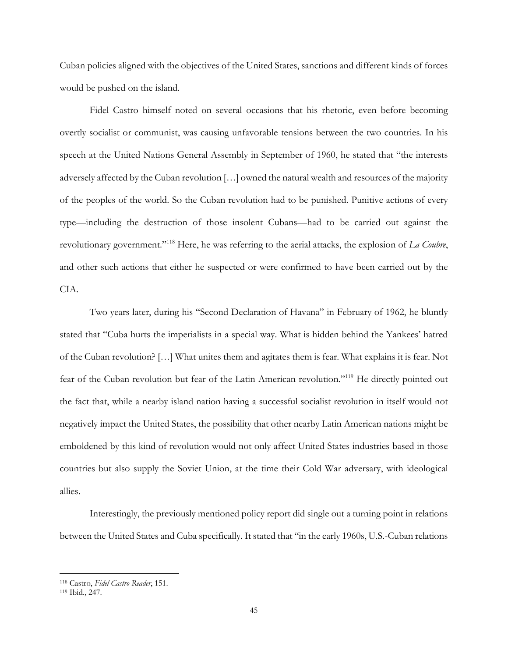Cuban policies aligned with the objectives of the United States, sanctions and different kinds of forces would be pushed on the island.

Fidel Castro himself noted on several occasions that his rhetoric, even before becoming overtly socialist or communist, was causing unfavorable tensions between the two countries. In his speech at the United Nations General Assembly in September of 1960, he stated that "the interests adversely affected by the Cuban revolution […] owned the natural wealth and resources of the majority of the peoples of the world. So the Cuban revolution had to be punished. Punitive actions of every type—including the destruction of those insolent Cubans—had to be carried out against the revolutionary government."118 Here, he was referring to the aerial attacks, the explosion of *La Coubre*, and other such actions that either he suspected or were confirmed to have been carried out by the CIA.

Two years later, during his "Second Declaration of Havana" in February of 1962, he bluntly stated that "Cuba hurts the imperialists in a special way. What is hidden behind the Yankees' hatred of the Cuban revolution? […] What unites them and agitates them is fear. What explains it is fear. Not fear of the Cuban revolution but fear of the Latin American revolution."119 He directly pointed out the fact that, while a nearby island nation having a successful socialist revolution in itself would not negatively impact the United States, the possibility that other nearby Latin American nations might be emboldened by this kind of revolution would not only affect United States industries based in those countries but also supply the Soviet Union, at the time their Cold War adversary, with ideological allies.

Interestingly, the previously mentioned policy report did single out a turning point in relations between the United States and Cuba specifically. It stated that "in the early 1960s, U.S.-Cuban relations

<sup>118</sup> Castro, *Fidel Castro Reader*, 151.

<sup>119</sup> Ibid., 247.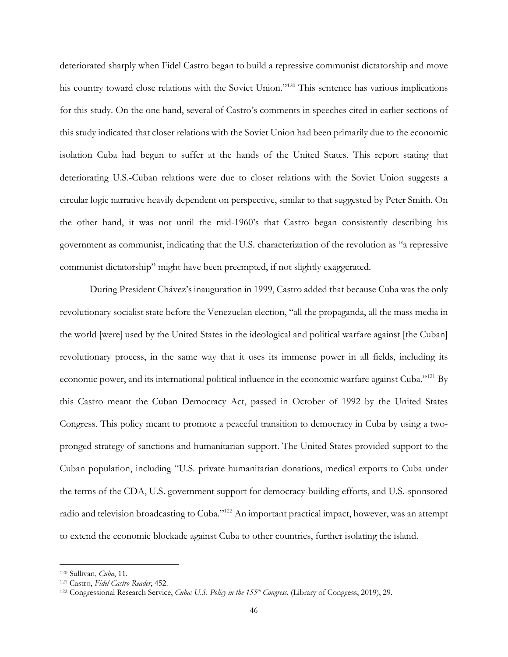deteriorated sharply when Fidel Castro began to build a repressive communist dictatorship and move his country toward close relations with the Soviet Union."<sup>120</sup> This sentence has various implications for this study. On the one hand, several of Castro's comments in speeches cited in earlier sections of this study indicated that closer relations with the Soviet Union had been primarily due to the economic isolation Cuba had begun to suffer at the hands of the United States. This report stating that deteriorating U.S.-Cuban relations were due to closer relations with the Soviet Union suggests a circular logic narrative heavily dependent on perspective, similar to that suggested by Peter Smith. On the other hand, it was not until the mid-1960's that Castro began consistently describing his government as communist, indicating that the U.S. characterization of the revolution as "a repressive communist dictatorship" might have been preempted, if not slightly exaggerated.

During President Chávez's inauguration in 1999, Castro added that because Cuba was the only revolutionary socialist state before the Venezuelan election, "all the propaganda, all the mass media in the world [were] used by the United States in the ideological and political warfare against [the Cuban] revolutionary process, in the same way that it uses its immense power in all fields, including its economic power, and its international political influence in the economic warfare against Cuba."121 By this Castro meant the Cuban Democracy Act, passed in October of 1992 by the United States Congress. This policy meant to promote a peaceful transition to democracy in Cuba by using a twopronged strategy of sanctions and humanitarian support. The United States provided support to the Cuban population, including "U.S. private humanitarian donations, medical exports to Cuba under the terms of the CDA, U.S. government support for democracy-building efforts, and U.S.-sponsored radio and television broadcasting to Cuba."122 An important practical impact, however, was an attempt to extend the economic blockade against Cuba to other countries, further isolating the island.

<sup>120</sup> Sullivan, *Cuba*, 11.

<sup>121</sup> Castro, *Fidel Castro Reader*, 452.

<sup>122</sup> Congressional Research Service, *Cuba: U.S. Policy in the 155th Congress*, (Library of Congress, 2019), 29.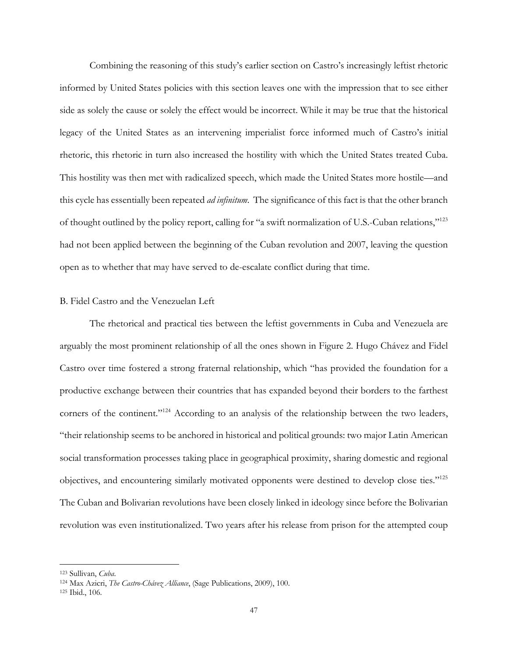Combining the reasoning of this study's earlier section on Castro's increasingly leftist rhetoric informed by United States policies with this section leaves one with the impression that to see either side as solely the cause or solely the effect would be incorrect. While it may be true that the historical legacy of the United States as an intervening imperialist force informed much of Castro's initial rhetoric, this rhetoric in turn also increased the hostility with which the United States treated Cuba. This hostility was then met with radicalized speech, which made the United States more hostile—and this cycle has essentially been repeated *ad infinitum*. The significance of this fact is that the other branch of thought outlined by the policy report, calling for "a swift normalization of U.S.-Cuban relations,"123 had not been applied between the beginning of the Cuban revolution and 2007, leaving the question open as to whether that may have served to de-escalate conflict during that time.

#### B. Fidel Castro and the Venezuelan Left

The rhetorical and practical ties between the leftist governments in Cuba and Venezuela are arguably the most prominent relationship of all the ones shown in Figure 2. Hugo Chávez and Fidel Castro over time fostered a strong fraternal relationship, which "has provided the foundation for a productive exchange between their countries that has expanded beyond their borders to the farthest corners of the continent."<sup>124</sup> According to an analysis of the relationship between the two leaders, "their relationship seems to be anchored in historical and political grounds: two major Latin American social transformation processes taking place in geographical proximity, sharing domestic and regional objectives, and encountering similarly motivated opponents were destined to develop close ties."125 The Cuban and Bolivarian revolutions have been closely linked in ideology since before the Bolivarian revolution was even institutionalized. Two years after his release from prison for the attempted coup

<sup>123</sup> Sullivan, *Cuba*.

<sup>124</sup> Max Azicri, *The Castro-Chávez Alliance*, (Sage Publications, 2009), 100.

<sup>125</sup> Ibid., 106.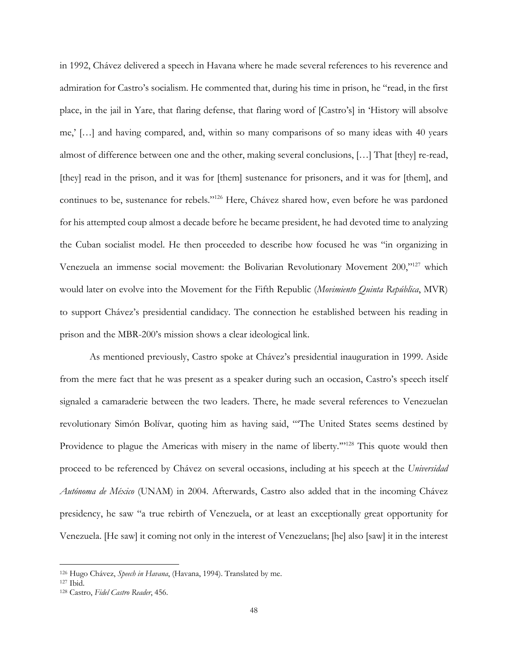in 1992, Chávez delivered a speech in Havana where he made several references to his reverence and admiration for Castro's socialism. He commented that, during his time in prison, he "read, in the first place, in the jail in Yare, that flaring defense, that flaring word of [Castro's] in 'History will absolve me,' […] and having compared, and, within so many comparisons of so many ideas with 40 years almost of difference between one and the other, making several conclusions, […] That [they] re-read, [they] read in the prison, and it was for [them] sustenance for prisoners, and it was for [them], and continues to be, sustenance for rebels."126 Here, Chávez shared how, even before he was pardoned for his attempted coup almost a decade before he became president, he had devoted time to analyzing the Cuban socialist model. He then proceeded to describe how focused he was "in organizing in Venezuela an immense social movement: the Bolivarian Revolutionary Movement 200,"127 which would later on evolve into the Movement for the Fifth Republic (*Movimiento Quinta República*, MVR) to support Chávez's presidential candidacy. The connection he established between his reading in prison and the MBR-200's mission shows a clear ideological link.

As mentioned previously, Castro spoke at Chávez's presidential inauguration in 1999. Aside from the mere fact that he was present as a speaker during such an occasion, Castro's speech itself signaled a camaraderie between the two leaders. There, he made several references to Venezuelan revolutionary Simón Bolívar, quoting him as having said, "'The United States seems destined by Providence to plague the Americas with misery in the name of liberty."<sup>128</sup> This quote would then proceed to be referenced by Chávez on several occasions, including at his speech at the *Universidad Autónoma de México* (UNAM) in 2004. Afterwards, Castro also added that in the incoming Chávez presidency, he saw "a true rebirth of Venezuela, or at least an exceptionally great opportunity for Venezuela. [He saw] it coming not only in the interest of Venezuelans; [he] also [saw] it in the interest

<sup>126</sup> Hugo Chávez, *Speech in Havana*, (Havana, 1994). Translated by me.

<sup>127</sup> Ibid.

<sup>128</sup> Castro, *Fidel Castro Reader*, 456.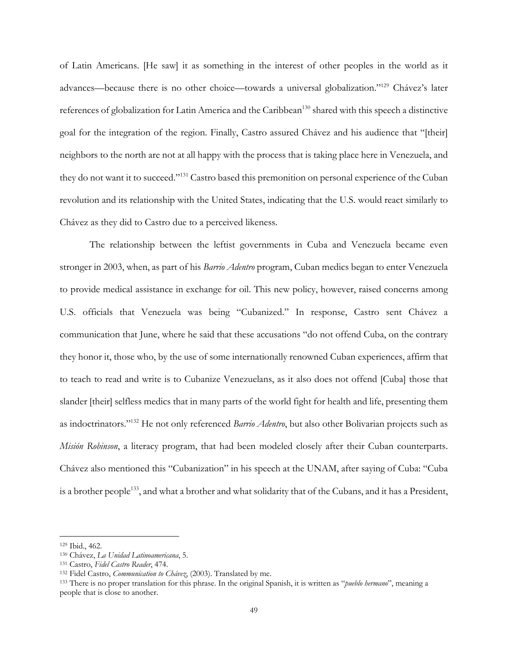of Latin Americans. [He saw] it as something in the interest of other peoples in the world as it advances—because there is no other choice—towards a universal globalization."129 Chávez's later references of globalization for Latin America and the Caribbean<sup>130</sup> shared with this speech a distinctive goal for the integration of the region. Finally, Castro assured Chávez and his audience that "[their] neighbors to the north are not at all happy with the process that is taking place here in Venezuela, and they do not want it to succeed."131 Castro based this premonition on personal experience of the Cuban revolution and its relationship with the United States, indicating that the U.S. would react similarly to Chávez as they did to Castro due to a perceived likeness.

The relationship between the leftist governments in Cuba and Venezuela became even stronger in 2003, when, as part of his *Barrio Adentro* program, Cuban medics began to enter Venezuela to provide medical assistance in exchange for oil. This new policy, however, raised concerns among U.S. officials that Venezuela was being "Cubanized." In response, Castro sent Chávez a communication that June, where he said that these accusations "do not offend Cuba, on the contrary they honor it, those who, by the use of some internationally renowned Cuban experiences, affirm that to teach to read and write is to Cubanize Venezuelans, as it also does not offend [Cuba] those that slander [their] selfless medics that in many parts of the world fight for health and life, presenting them as indoctrinators."132 He not only referenced *Barrio Adentro*, but also other Bolivarian projects such as *Misión Robinson*, a literacy program, that had been modeled closely after their Cuban counterparts. Chávez also mentioned this "Cubanization" in his speech at the UNAM, after saying of Cuba: "Cuba is a brother people<sup>133</sup>, and what a brother and what solidarity that of the Cubans, and it has a President,

<sup>129</sup> Ibid., 462.

<sup>130</sup> Chávez, *La Unidad Latinoamericana*, 5.

<sup>131</sup> Castro, *Fidel Castro Reader*, 474.

<sup>132</sup> Fidel Castro, *Communication to Chávez*, (2003). Translated by me.

<sup>133</sup> There is no proper translation for this phrase. In the original Spanish, it is written as "*pueblo hermano*", meaning a people that is close to another.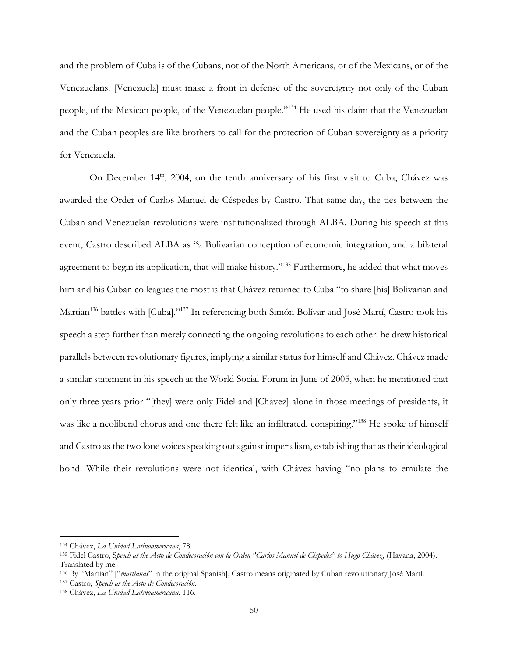and the problem of Cuba is of the Cubans, not of the North Americans, or of the Mexicans, or of the Venezuelans. [Venezuela] must make a front in defense of the sovereignty not only of the Cuban people, of the Mexican people, of the Venezuelan people."134 He used his claim that the Venezuelan and the Cuban peoples are like brothers to call for the protection of Cuban sovereignty as a priority for Venezuela.

On December 14<sup>th</sup>, 2004, on the tenth anniversary of his first visit to Cuba, Chávez was awarded the Order of Carlos Manuel de Céspedes by Castro. That same day, the ties between the Cuban and Venezuelan revolutions were institutionalized through ALBA. During his speech at this event, Castro described ALBA as "a Bolivarian conception of economic integration, and a bilateral agreement to begin its application, that will make history."135 Furthermore, he added that what moves him and his Cuban colleagues the most is that Chávez returned to Cuba "to share [his] Bolivarian and Martian<sup>136</sup> battles with [Cuba]."<sup>137</sup> In referencing both Simón Bolívar and José Martí, Castro took his speech a step further than merely connecting the ongoing revolutions to each other: he drew historical parallels between revolutionary figures, implying a similar status for himself and Chávez. Chávez made a similar statement in his speech at the World Social Forum in June of 2005, when he mentioned that only three years prior "[they] were only Fidel and [Chávez] alone in those meetings of presidents, it was like a neoliberal chorus and one there felt like an infiltrated, conspiring."<sup>138</sup> He spoke of himself and Castro as the two lone voices speaking out against imperialism, establishing that as their ideological bond. While their revolutions were not identical, with Chávez having "no plans to emulate the

<sup>134</sup> Chávez, *La Unidad Latinoamericana*, 78.

<sup>135</sup> Fidel Castro, S*peech at the Acto de Condecoración con la Orden "Carlos Manuel de Céspedes" to Hugo Chávez*, (Havana, 2004). Translated by me.

<sup>136</sup> By "Martian" ["*martianas*" in the original Spanish], Castro means originated by Cuban revolutionary José Martí.

<sup>137</sup> Castro, *Speech at the Acto de Condecoración*.

<sup>138</sup> Chávez, *La Unidad Latinoamericana*, 116.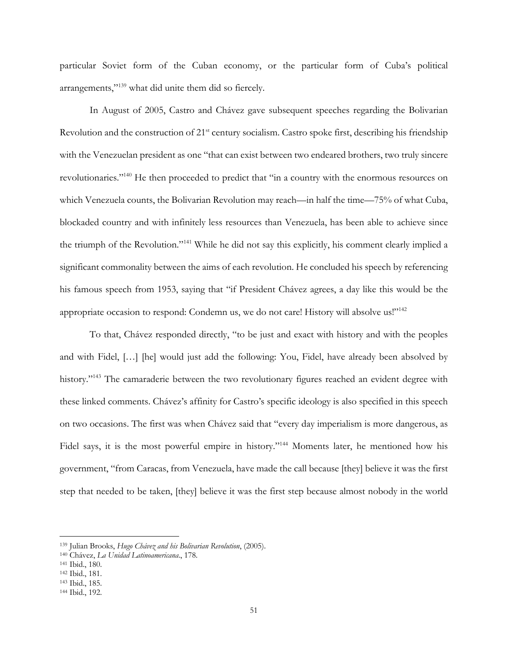particular Soviet form of the Cuban economy, or the particular form of Cuba's political arrangements,"139 what did unite them did so fiercely.

In August of 2005, Castro and Chávez gave subsequent speeches regarding the Bolivarian Revolution and the construction of 21<sup>st</sup> century socialism. Castro spoke first, describing his friendship with the Venezuelan president as one "that can exist between two endeared brothers, two truly sincere revolutionaries."140 He then proceeded to predict that "in a country with the enormous resources on which Venezuela counts, the Bolivarian Revolution may reach—in half the time—75% of what Cuba, blockaded country and with infinitely less resources than Venezuela, has been able to achieve since the triumph of the Revolution."141 While he did not say this explicitly, his comment clearly implied a significant commonality between the aims of each revolution. He concluded his speech by referencing his famous speech from 1953, saying that "if President Chávez agrees, a day like this would be the appropriate occasion to respond: Condemn us, we do not care! History will absolve us!"142

To that, Chávez responded directly, "to be just and exact with history and with the peoples and with Fidel, […] [he] would just add the following: You, Fidel, have already been absolved by history."<sup>143</sup> The camaraderie between the two revolutionary figures reached an evident degree with these linked comments. Chávez's affinity for Castro's specific ideology is also specified in this speech on two occasions. The first was when Chávez said that "every day imperialism is more dangerous, as Fidel says, it is the most powerful empire in history."144 Moments later, he mentioned how his government, "from Caracas, from Venezuela, have made the call because [they] believe it was the first step that needed to be taken, [they] believe it was the first step because almost nobody in the world

<sup>139</sup> Julian Brooks, *Hugo Chávez and his Bolivarian Revolution*, (2005).

<sup>140</sup> Chávez, *La Unidad Latinoamericana*., 178.

<sup>141</sup> Ibid., 180.

<sup>142</sup> Ibid., 181.

<sup>143</sup> Ibid., 185.

<sup>144</sup> Ibid., 192.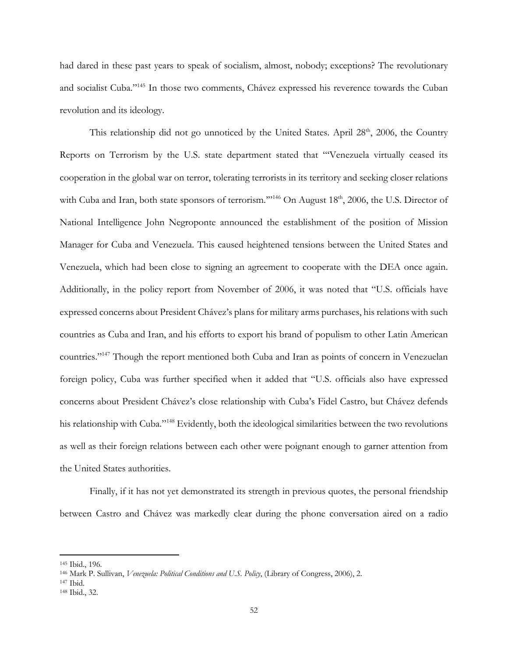had dared in these past years to speak of socialism, almost, nobody; exceptions? The revolutionary and socialist Cuba."145 In those two comments, Chávez expressed his reverence towards the Cuban revolution and its ideology.

This relationship did not go unnoticed by the United States. April  $28<sup>th</sup>$ ,  $2006$ , the Country Reports on Terrorism by the U.S. state department stated that "'Venezuela virtually ceased its cooperation in the global war on terror, tolerating terrorists in its territory and seeking closer relations with Cuba and Iran, both state sponsors of terrorism."<sup>146</sup> On August 18<sup>th</sup>, 2006, the U.S. Director of National Intelligence John Negroponte announced the establishment of the position of Mission Manager for Cuba and Venezuela. This caused heightened tensions between the United States and Venezuela, which had been close to signing an agreement to cooperate with the DEA once again. Additionally, in the policy report from November of 2006, it was noted that "U.S. officials have expressed concerns about President Chávez's plans for military arms purchases, his relations with such countries as Cuba and Iran, and his efforts to export his brand of populism to other Latin American countries."147 Though the report mentioned both Cuba and Iran as points of concern in Venezuelan foreign policy, Cuba was further specified when it added that "U.S. officials also have expressed concerns about President Chávez's close relationship with Cuba's Fidel Castro, but Chávez defends his relationship with Cuba."<sup>148</sup> Evidently, both the ideological similarities between the two revolutions as well as their foreign relations between each other were poignant enough to garner attention from the United States authorities.

Finally, if it has not yet demonstrated its strength in previous quotes, the personal friendship between Castro and Chávez was markedly clear during the phone conversation aired on a radio

<sup>145</sup> Ibid., 196.

<sup>146</sup> Mark P. Sullivan, *Venezuela: Political Conditions and U.S. Policy*, (Library of Congress, 2006), 2.

<sup>147</sup> Ibid.

<sup>148</sup> Ibid., 32.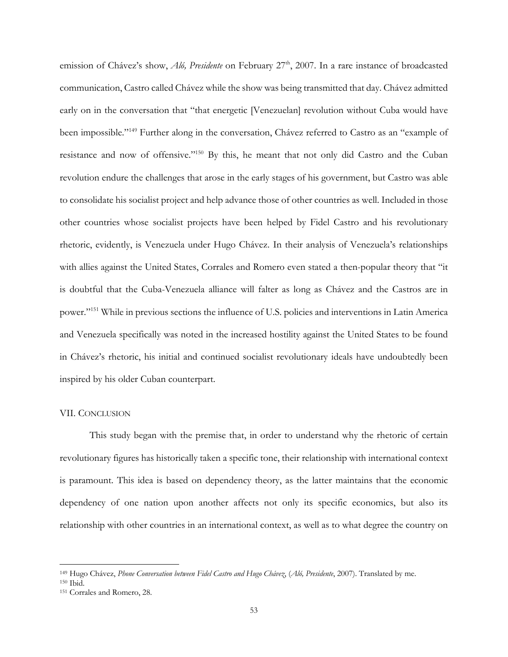emission of Chávez's show, *Aló, Presidente* on February 27<sup>th</sup>, 2007. In a rare instance of broadcasted communication, Castro called Chávez while the show was being transmitted that day. Chávez admitted early on in the conversation that "that energetic [Venezuelan] revolution without Cuba would have been impossible."149 Further along in the conversation, Chávez referred to Castro as an "example of resistance and now of offensive."150 By this, he meant that not only did Castro and the Cuban revolution endure the challenges that arose in the early stages of his government, but Castro was able to consolidate his socialist project and help advance those of other countries as well. Included in those other countries whose socialist projects have been helped by Fidel Castro and his revolutionary rhetoric, evidently, is Venezuela under Hugo Chávez. In their analysis of Venezuela's relationships with allies against the United States, Corrales and Romero even stated a then-popular theory that "it is doubtful that the Cuba-Venezuela alliance will falter as long as Chávez and the Castros are in power."151 While in previous sections the influence of U.S. policies and interventions in Latin America and Venezuela specifically was noted in the increased hostility against the United States to be found in Chávez's rhetoric, his initial and continued socialist revolutionary ideals have undoubtedly been inspired by his older Cuban counterpart.

#### VII. CONCLUSION

This study began with the premise that, in order to understand why the rhetoric of certain revolutionary figures has historically taken a specific tone, their relationship with international context is paramount. This idea is based on dependency theory, as the latter maintains that the economic dependency of one nation upon another affects not only its specific economics, but also its relationship with other countries in an international context, as well as to what degree the country on

<sup>149</sup> Hugo Chávez, *Phone Conversation between Fidel Castro and Hugo Chávez*, (*Aló, Presidente*, 2007). Translated by me.

<sup>150</sup> Ibid.

<sup>151</sup> Corrales and Romero, 28.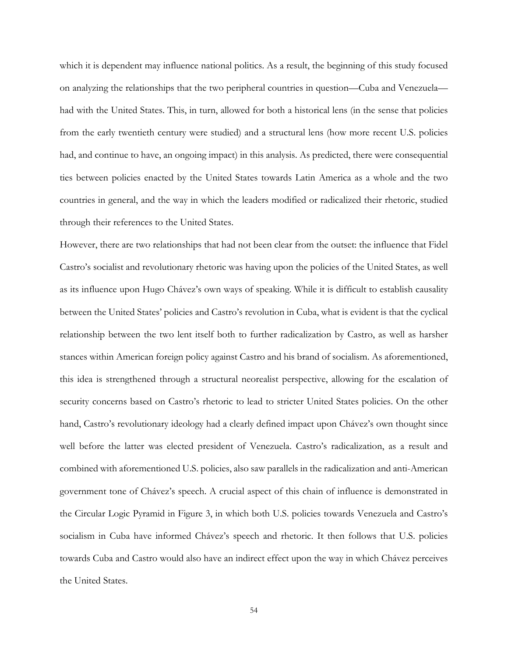which it is dependent may influence national politics. As a result, the beginning of this study focused on analyzing the relationships that the two peripheral countries in question—Cuba and Venezuela had with the United States. This, in turn, allowed for both a historical lens (in the sense that policies from the early twentieth century were studied) and a structural lens (how more recent U.S. policies had, and continue to have, an ongoing impact) in this analysis. As predicted, there were consequential ties between policies enacted by the United States towards Latin America as a whole and the two countries in general, and the way in which the leaders modified or radicalized their rhetoric, studied through their references to the United States.

However, there are two relationships that had not been clear from the outset: the influence that Fidel Castro's socialist and revolutionary rhetoric was having upon the policies of the United States, as well as its influence upon Hugo Chávez's own ways of speaking. While it is difficult to establish causality between the United States' policies and Castro's revolution in Cuba, what is evident is that the cyclical relationship between the two lent itself both to further radicalization by Castro, as well as harsher stances within American foreign policy against Castro and his brand of socialism. As aforementioned, this idea is strengthened through a structural neorealist perspective, allowing for the escalation of security concerns based on Castro's rhetoric to lead to stricter United States policies. On the other hand, Castro's revolutionary ideology had a clearly defined impact upon Chávez's own thought since well before the latter was elected president of Venezuela. Castro's radicalization, as a result and combined with aforementioned U.S. policies, also saw parallels in the radicalization and anti-American government tone of Chávez's speech. A crucial aspect of this chain of influence is demonstrated in the Circular Logic Pyramid in Figure 3, in which both U.S. policies towards Venezuela and Castro's socialism in Cuba have informed Chávez's speech and rhetoric. It then follows that U.S. policies towards Cuba and Castro would also have an indirect effect upon the way in which Chávez perceives the United States.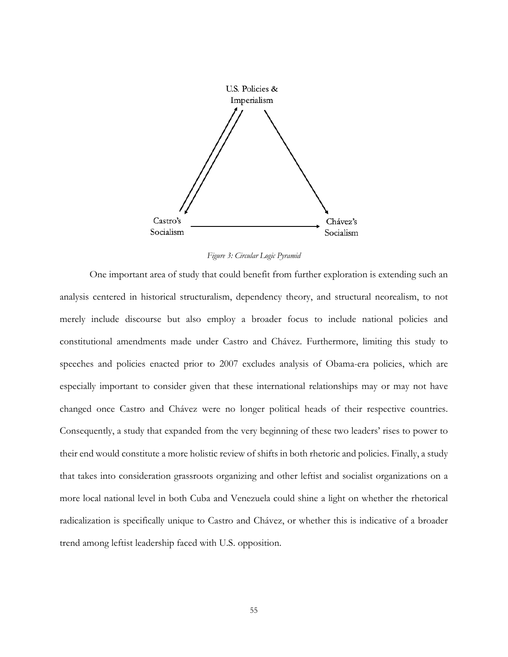

*Figure 3: Circular Logic Pyramid*

One important area of study that could benefit from further exploration is extending such an analysis centered in historical structuralism, dependency theory, and structural neorealism, to not merely include discourse but also employ a broader focus to include national policies and constitutional amendments made under Castro and Chávez. Furthermore, limiting this study to speeches and policies enacted prior to 2007 excludes analysis of Obama-era policies, which are especially important to consider given that these international relationships may or may not have changed once Castro and Chávez were no longer political heads of their respective countries. Consequently, a study that expanded from the very beginning of these two leaders' rises to power to their end would constitute a more holistic review of shifts in both rhetoric and policies. Finally, a study that takes into consideration grassroots organizing and other leftist and socialist organizations on a more local national level in both Cuba and Venezuela could shine a light on whether the rhetorical radicalization is specifically unique to Castro and Chávez, or whether this is indicative of a broader trend among leftist leadership faced with U.S. opposition.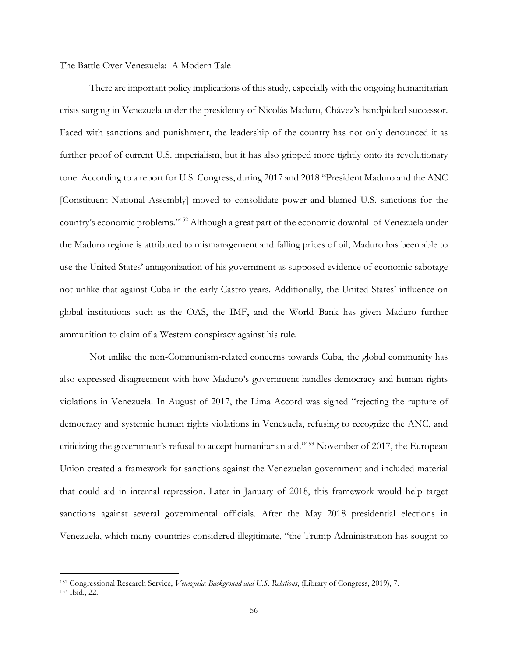The Battle Over Venezuela: A Modern Tale

There are important policy implications of this study, especially with the ongoing humanitarian crisis surging in Venezuela under the presidency of Nicolás Maduro, Chávez's handpicked successor. Faced with sanctions and punishment, the leadership of the country has not only denounced it as further proof of current U.S. imperialism, but it has also gripped more tightly onto its revolutionary tone. According to a report for U.S. Congress, during 2017 and 2018 "President Maduro and the ANC [Constituent National Assembly] moved to consolidate power and blamed U.S. sanctions for the country's economic problems."152 Although a great part of the economic downfall of Venezuela under the Maduro regime is attributed to mismanagement and falling prices of oil, Maduro has been able to use the United States' antagonization of his government as supposed evidence of economic sabotage not unlike that against Cuba in the early Castro years. Additionally, the United States' influence on global institutions such as the OAS, the IMF, and the World Bank has given Maduro further ammunition to claim of a Western conspiracy against his rule.

Not unlike the non-Communism-related concerns towards Cuba, the global community has also expressed disagreement with how Maduro's government handles democracy and human rights violations in Venezuela. In August of 2017, the Lima Accord was signed "rejecting the rupture of democracy and systemic human rights violations in Venezuela, refusing to recognize the ANC, and criticizing the government's refusal to accept humanitarian aid."153 November of 2017, the European Union created a framework for sanctions against the Venezuelan government and included material that could aid in internal repression. Later in January of 2018, this framework would help target sanctions against several governmental officials. After the May 2018 presidential elections in Venezuela, which many countries considered illegitimate, "the Trump Administration has sought to

<sup>152</sup> Congressional Research Service, *Venezuela: Background and U.S. Relations*, (Library of Congress, 2019), 7. <sup>153</sup> Ibid., 22.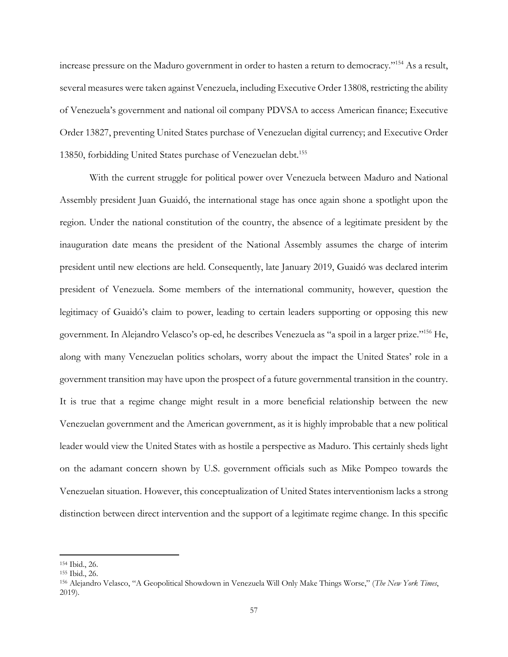increase pressure on the Maduro government in order to hasten a return to democracy."154 As a result, several measures were taken against Venezuela, including Executive Order 13808, restricting the ability of Venezuela's government and national oil company PDVSA to access American finance; Executive Order 13827, preventing United States purchase of Venezuelan digital currency; and Executive Order 13850, forbidding United States purchase of Venezuelan debt.<sup>155</sup>

With the current struggle for political power over Venezuela between Maduro and National Assembly president Juan Guaidó, the international stage has once again shone a spotlight upon the region. Under the national constitution of the country, the absence of a legitimate president by the inauguration date means the president of the National Assembly assumes the charge of interim president until new elections are held. Consequently, late January 2019, Guaidó was declared interim president of Venezuela. Some members of the international community, however, question the legitimacy of Guaidó's claim to power, leading to certain leaders supporting or opposing this new government. In Alejandro Velasco's op-ed, he describes Venezuela as "a spoil in a larger prize."156 He, along with many Venezuelan politics scholars, worry about the impact the United States' role in a government transition may have upon the prospect of a future governmental transition in the country. It is true that a regime change might result in a more beneficial relationship between the new Venezuelan government and the American government, as it is highly improbable that a new political leader would view the United States with as hostile a perspective as Maduro. This certainly sheds light on the adamant concern shown by U.S. government officials such as Mike Pompeo towards the Venezuelan situation. However, this conceptualization of United States interventionism lacks a strong distinction between direct intervention and the support of a legitimate regime change. In this specific

<sup>154</sup> Ibid., 26.

<sup>155</sup> Ibid., 26.

<sup>156</sup> Alejandro Velasco, "A Geopolitical Showdown in Venezuela Will Only Make Things Worse," (*The New York Times*, 2019).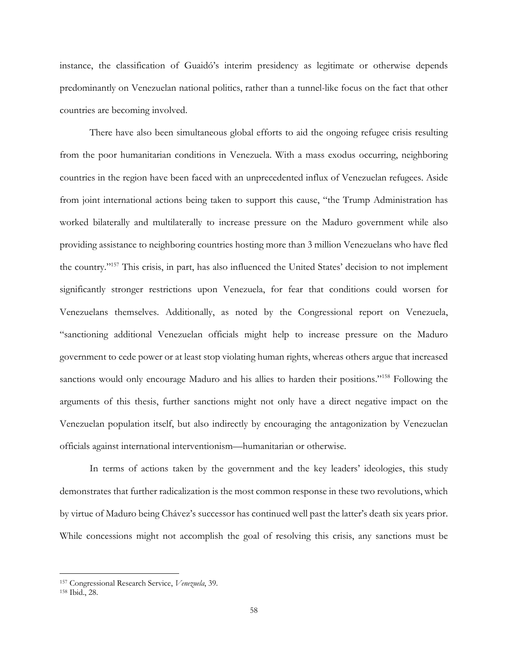instance, the classification of Guaidó's interim presidency as legitimate or otherwise depends predominantly on Venezuelan national politics, rather than a tunnel-like focus on the fact that other countries are becoming involved.

There have also been simultaneous global efforts to aid the ongoing refugee crisis resulting from the poor humanitarian conditions in Venezuela. With a mass exodus occurring, neighboring countries in the region have been faced with an unprecedented influx of Venezuelan refugees. Aside from joint international actions being taken to support this cause, "the Trump Administration has worked bilaterally and multilaterally to increase pressure on the Maduro government while also providing assistance to neighboring countries hosting more than 3 million Venezuelans who have fled the country."157 This crisis, in part, has also influenced the United States' decision to not implement significantly stronger restrictions upon Venezuela, for fear that conditions could worsen for Venezuelans themselves. Additionally, as noted by the Congressional report on Venezuela, "sanctioning additional Venezuelan officials might help to increase pressure on the Maduro government to cede power or at least stop violating human rights, whereas others argue that increased sanctions would only encourage Maduro and his allies to harden their positions."<sup>158</sup> Following the arguments of this thesis, further sanctions might not only have a direct negative impact on the Venezuelan population itself, but also indirectly by encouraging the antagonization by Venezuelan officials against international interventionism—humanitarian or otherwise.

In terms of actions taken by the government and the key leaders' ideologies, this study demonstrates that further radicalization is the most common response in these two revolutions, which by virtue of Maduro being Chávez's successor has continued well past the latter's death six years prior. While concessions might not accomplish the goal of resolving this crisis, any sanctions must be

<sup>157</sup> Congressional Research Service, *Venezuela*, 39.

<sup>158</sup> Ibid., 28.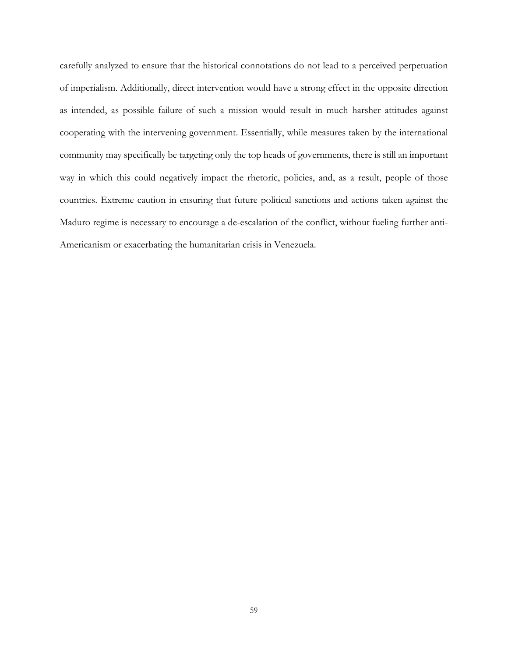carefully analyzed to ensure that the historical connotations do not lead to a perceived perpetuation of imperialism. Additionally, direct intervention would have a strong effect in the opposite direction as intended, as possible failure of such a mission would result in much harsher attitudes against cooperating with the intervening government. Essentially, while measures taken by the international community may specifically be targeting only the top heads of governments, there is still an important way in which this could negatively impact the rhetoric, policies, and, as a result, people of those countries. Extreme caution in ensuring that future political sanctions and actions taken against the Maduro regime is necessary to encourage a de-escalation of the conflict, without fueling further anti-Americanism or exacerbating the humanitarian crisis in Venezuela.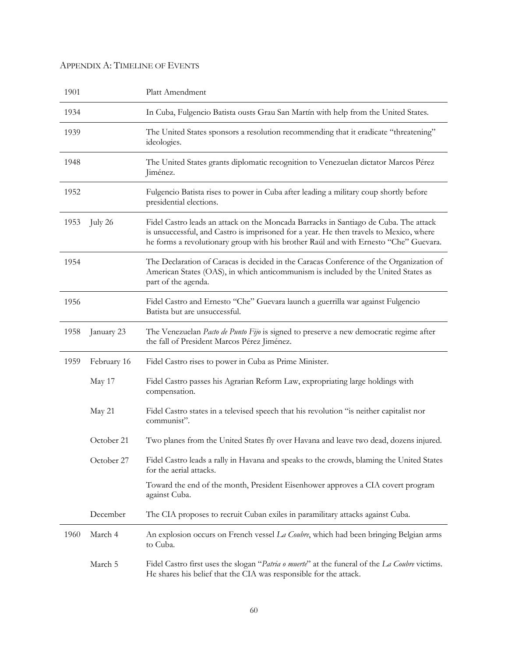## APPENDIX A: TIMELINE OF EVENTS

| 1901 |             | Platt Amendment                                                                                                                                                                                                                                                        |
|------|-------------|------------------------------------------------------------------------------------------------------------------------------------------------------------------------------------------------------------------------------------------------------------------------|
| 1934 |             | In Cuba, Fulgencio Batista ousts Grau San Martín with help from the United States.                                                                                                                                                                                     |
| 1939 |             | The United States sponsors a resolution recommending that it eradicate "threatening"<br>ideologies.                                                                                                                                                                    |
| 1948 |             | The United States grants diplomatic recognition to Venezuelan dictator Marcos Pérez<br>Jiménez.                                                                                                                                                                        |
| 1952 |             | Fulgencio Batista rises to power in Cuba after leading a military coup shortly before<br>presidential elections.                                                                                                                                                       |
| 1953 | July 26     | Fidel Castro leads an attack on the Moncada Barracks in Santiago de Cuba. The attack<br>is unsuccessful, and Castro is imprisoned for a year. He then travels to Mexico, where<br>he forms a revolutionary group with his brother Raúl and with Ernesto "Che" Guevara. |
| 1954 |             | The Declaration of Caracas is decided in the Caracas Conference of the Organization of<br>American States (OAS), in which anticommunism is included by the United States as<br>part of the agenda.                                                                     |
| 1956 |             | Fidel Castro and Ernesto "Che" Guevara launch a guerrilla war against Fulgencio<br>Batista but are unsuccessful.                                                                                                                                                       |
| 1958 | January 23  | The Venezuelan Pacto de Punto Fijo is signed to preserve a new democratic regime after<br>the fall of President Marcos Pérez Jiménez.                                                                                                                                  |
| 1959 | February 16 | Fidel Castro rises to power in Cuba as Prime Minister.                                                                                                                                                                                                                 |
|      | May 17      | Fidel Castro passes his Agrarian Reform Law, expropriating large holdings with<br>compensation.                                                                                                                                                                        |
|      | May 21      | Fidel Castro states in a televised speech that his revolution "is neither capitalist nor<br>communist".                                                                                                                                                                |
|      | October 21  | Two planes from the United States fly over Havana and leave two dead, dozens injured.                                                                                                                                                                                  |
|      | October 27  | Fidel Castro leads a rally in Havana and speaks to the crowds, blaming the United States<br>for the aerial attacks.                                                                                                                                                    |
|      |             | Toward the end of the month, President Eisenhower approves a CIA covert program<br>against Cuba.                                                                                                                                                                       |
|      | December    | The CIA proposes to recruit Cuban exiles in paramilitary attacks against Cuba.                                                                                                                                                                                         |
| 1960 | March 4     | An explosion occurs on French vessel La Coubre, which had been bringing Belgian arms<br>to Cuba.                                                                                                                                                                       |
|      | March 5     | Fidel Castro first uses the slogan "Patria o muerte" at the funeral of the La Coubre victims.<br>He shares his belief that the CIA was responsible for the attack.                                                                                                     |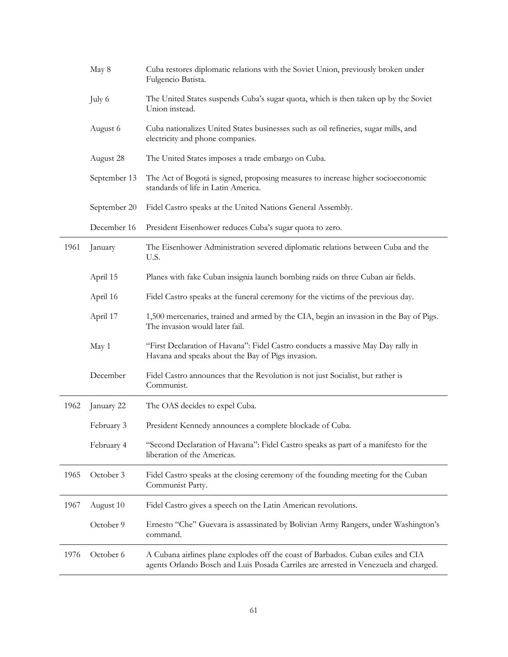|      | May 8        | Cuba restores diplomatic relations with the Soviet Union, previously broken under<br>Fulgencio Batista.                                                                  |
|------|--------------|--------------------------------------------------------------------------------------------------------------------------------------------------------------------------|
|      | July 6       | The United States suspends Cuba's sugar quota, which is then taken up by the Soviet<br>Union instead.                                                                    |
|      | August 6     | Cuba nationalizes United States businesses such as oil refineries, sugar mills, and<br>electricity and phone companies.                                                  |
|      | August 28    | The United States imposes a trade embargo on Cuba.                                                                                                                       |
|      | September 13 | The Act of Bogotá is signed, proposing measures to increase higher socioeconomic<br>standards of life in Latin America.                                                  |
|      | September 20 | Fidel Castro speaks at the United Nations General Assembly.                                                                                                              |
|      | December 16  | President Eisenhower reduces Cuba's sugar quota to zero.                                                                                                                 |
| 1961 | January      | The Eisenhower Administration severed diplomatic relations between Cuba and the<br>U.S.                                                                                  |
|      | April 15     | Planes with fake Cuban insignia launch bombing raids on three Cuban air fields.                                                                                          |
|      | April 16     | Fidel Castro speaks at the funeral ceremony for the victims of the previous day.                                                                                         |
|      | April 17     | 1,500 mercenaries, trained and armed by the CIA, begin an invasion in the Bay of Pigs.<br>The invasion would later fail.                                                 |
|      | May 1        | "First Declaration of Havana": Fidel Castro conducts a massive May Day rally in<br>Havana and speaks about the Bay of Pigs invasion.                                     |
|      | December     | Fidel Castro announces that the Revolution is not just Socialist, but rather is<br>Communist.                                                                            |
| 1962 | January 22   | The OAS decides to expel Cuba.                                                                                                                                           |
|      | February 3   | President Kennedy announces a complete blockade of Cuba.                                                                                                                 |
|      | February 4   | "Second Declaration of Havana": Fidel Castro speaks as part of a manifesto for the<br>liberation of the Americas.                                                        |
| 1965 | October 3    | Fidel Castro speaks at the closing ceremony of the founding meeting for the Cuban<br>Communist Party.                                                                    |
| 1967 | August 10    | Fidel Castro gives a speech on the Latin American revolutions.                                                                                                           |
|      | October 9    | Ernesto "Che" Guevara is assassinated by Bolivian Army Rangers, under Washington's<br>command.                                                                           |
| 1976 | October 6    | A Cubana airlines plane explodes off the coast of Barbados. Cuban exiles and CIA<br>agents Orlando Bosch and Luis Posada Carriles are arrested in Venezuela and charged. |

Ĺ,

L.

 $\overline{\phantom{0}}$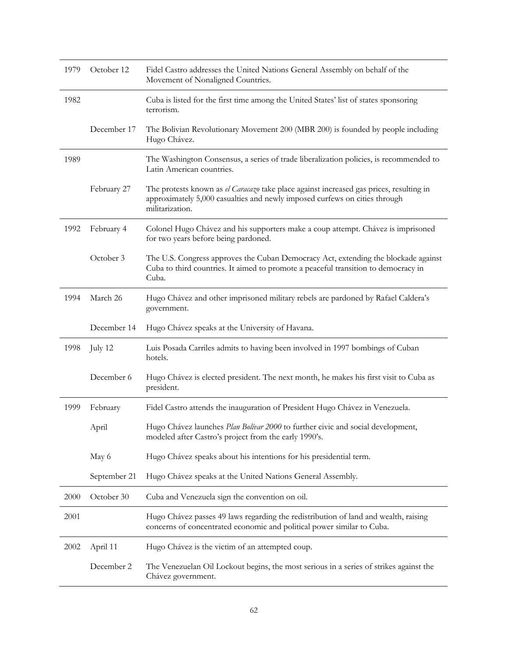| 1979 | October 12   | Fidel Castro addresses the United Nations General Assembly on behalf of the<br>Movement of Nonaligned Countries.                                                                         |
|------|--------------|------------------------------------------------------------------------------------------------------------------------------------------------------------------------------------------|
| 1982 |              | Cuba is listed for the first time among the United States' list of states sponsoring<br>terrorism.                                                                                       |
|      | December 17  | The Bolivian Revolutionary Movement 200 (MBR 200) is founded by people including<br>Hugo Chávez.                                                                                         |
| 1989 |              | The Washington Consensus, a series of trade liberalization policies, is recommended to<br>Latin American countries.                                                                      |
|      | February 27  | The protests known as el Caracazo take place against increased gas prices, resulting in<br>approximately 5,000 casualties and newly imposed curfews on cities through<br>militarization. |
| 1992 | February 4   | Colonel Hugo Chávez and his supporters make a coup attempt. Chávez is imprisoned<br>for two years before being pardoned.                                                                 |
|      | October 3    | The U.S. Congress approves the Cuban Democracy Act, extending the blockade against<br>Cuba to third countries. It aimed to promote a peaceful transition to democracy in<br>Cuba.        |
| 1994 | March 26     | Hugo Chávez and other imprisoned military rebels are pardoned by Rafael Caldera's<br>government.                                                                                         |
|      | December 14  | Hugo Chávez speaks at the University of Havana.                                                                                                                                          |
| 1998 | July 12      | Luis Posada Carriles admits to having been involved in 1997 bombings of Cuban<br>hotels.                                                                                                 |
|      | December 6   | Hugo Chávez is elected president. The next month, he makes his first visit to Cuba as<br>president.                                                                                      |
| 1999 | February     | Fidel Castro attends the inauguration of President Hugo Chávez in Venezuela.                                                                                                             |
|      | April        | Hugo Chávez launches Plan Bolívar 2000 to further civic and social development,<br>modeled after Castro's project from the early 1990's.                                                 |
|      | May 6        | Hugo Chávez speaks about his intentions for his presidential term.                                                                                                                       |
|      | September 21 | Hugo Chávez speaks at the United Nations General Assembly.                                                                                                                               |
| 2000 | October 30   | Cuba and Venezuela sign the convention on oil.                                                                                                                                           |
| 2001 |              | Hugo Chávez passes 49 laws regarding the redistribution of land and wealth, raising<br>concerns of concentrated economic and political power similar to Cuba.                            |
| 2002 | April 11     | Hugo Chávez is the victim of an attempted coup.                                                                                                                                          |
|      | December 2   | The Venezuelan Oil Lockout begins, the most serious in a series of strikes against the<br>Chávez government.                                                                             |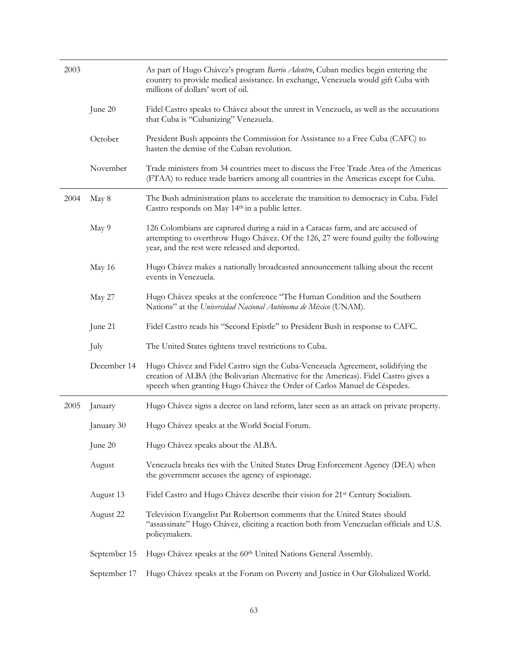| 2003 |              | As part of Hugo Chávez's program Barrio Adentro, Cuban medics begin entering the<br>country to provide medical assistance. In exchange, Venezuela would gift Cuba with<br>millions of dollars' wort of oil.                                         |
|------|--------------|-----------------------------------------------------------------------------------------------------------------------------------------------------------------------------------------------------------------------------------------------------|
|      | June 20      | Fidel Castro speaks to Chávez about the unrest in Venezuela, as well as the accusations<br>that Cuba is "Cubanizing" Venezuela.                                                                                                                     |
|      | October      | President Bush appoints the Commission for Assistance to a Free Cuba (CAFC) to<br>hasten the demise of the Cuban revolution.                                                                                                                        |
|      | November     | Trade ministers from 34 countries meet to discuss the Free Trade Area of the Americas<br>(FTAA) to reduce trade barriers among all countries in the Americas except for Cuba.                                                                       |
| 2004 | May 8        | The Bush administration plans to accelerate the transition to democracy in Cuba. Fidel<br>Castro responds on May 14th in a public letter.                                                                                                           |
|      | May 9        | 126 Colombians are captured during a raid in a Caracas farm, and are accused of<br>attempting to overthrow Hugo Chávez. Of the 126, 27 were found guilty the following<br>year, and the rest were released and deported.                            |
|      | May 16       | Hugo Chávez makes a nationally broadcasted announcement talking about the recent<br>events in Venezuela.                                                                                                                                            |
|      | May 27       | Hugo Chávez speaks at the conference "The Human Condition and the Southern<br>Nations" at the Universidad Nacional Autónoma de México (UNAM).                                                                                                       |
|      | June 21      | Fidel Castro reads his "Second Epistle" to President Bush in response to CAFC.                                                                                                                                                                      |
|      | July         | The United States tightens travel restrictions to Cuba.                                                                                                                                                                                             |
|      | December 14  | Hugo Chávez and Fidel Castro sign the Cuba-Venezuela Agreement, solidifying the<br>creation of ALBA (the Bolivarian Alternative for the Americas). Fidel Castro gives a<br>speech when granting Hugo Chávez the Order of Carlos Manuel de Céspedes. |
| 2005 | January      | Hugo Chávez signs a decree on land reform, later seen as an attack on private property.                                                                                                                                                             |
|      | January 30   | Hugo Chávez speaks at the World Social Forum.                                                                                                                                                                                                       |
|      | June 20      | Hugo Chávez speaks about the ALBA.                                                                                                                                                                                                                  |
|      | August       | Venezuela breaks ties with the United States Drug Enforcement Agency (DEA) when<br>the government accuses the agency of espionage.                                                                                                                  |
|      | August 13    | Fidel Castro and Hugo Chávez describe their vision for 21 <sup>st</sup> Century Socialism.                                                                                                                                                          |
|      | August 22    | Television Evangelist Pat Robertson comments that the United States should<br>"assassinate" Hugo Chávez, eliciting a reaction both from Venezuelan officials and U.S.<br>policymakers.                                                              |
|      | September 15 | Hugo Chávez speaks at the 60th United Nations General Assembly.                                                                                                                                                                                     |
|      | September 17 | Hugo Chávez speaks at the Forum on Poverty and Justice in Our Globalized World.                                                                                                                                                                     |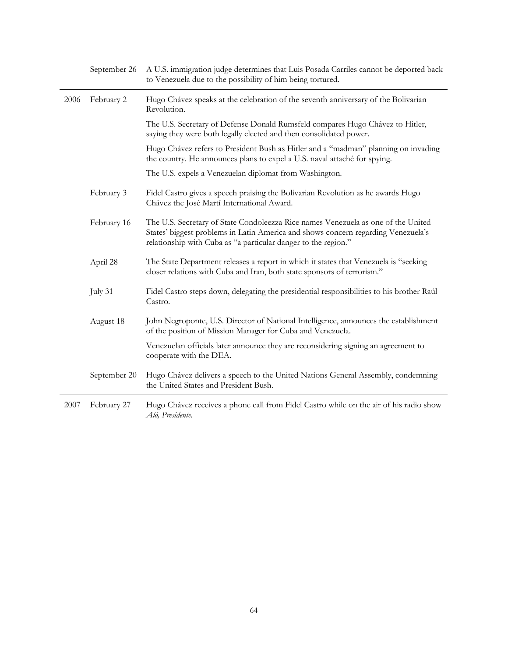|      | September 26 | A U.S. immigration judge determines that Luis Posada Carriles cannot be deported back<br>to Venezuela due to the possibility of him being tortured.                                                                                      |
|------|--------------|------------------------------------------------------------------------------------------------------------------------------------------------------------------------------------------------------------------------------------------|
| 2006 | February 2   | Hugo Chávez speaks at the celebration of the seventh anniversary of the Bolivarian<br>Revolution.                                                                                                                                        |
|      |              | The U.S. Secretary of Defense Donald Rumsfeld compares Hugo Chávez to Hitler,<br>saying they were both legally elected and then consolidated power.                                                                                      |
|      |              | Hugo Chávez refers to President Bush as Hitler and a "madman" planning on invading<br>the country. He announces plans to expel a U.S. naval attaché for spying.                                                                          |
|      |              | The U.S. expels a Venezuelan diplomat from Washington.                                                                                                                                                                                   |
|      | February 3   | Fidel Castro gives a speech praising the Bolivarian Revolution as he awards Hugo<br>Chávez the José Martí International Award.                                                                                                           |
|      | February 16  | The U.S. Secretary of State Condoleezza Rice names Venezuela as one of the United<br>States' biggest problems in Latin America and shows concern regarding Venezuela's<br>relationship with Cuba as "a particular danger to the region." |
|      | April 28     | The State Department releases a report in which it states that Venezuela is "seeking"<br>closer relations with Cuba and Iran, both state sponsors of terrorism."                                                                         |
|      | July 31      | Fidel Castro steps down, delegating the presidential responsibilities to his brother Raúl<br>Castro.                                                                                                                                     |
|      | August 18    | John Negroponte, U.S. Director of National Intelligence, announces the establishment<br>of the position of Mission Manager for Cuba and Venezuela.                                                                                       |
|      |              | Venezuelan officials later announce they are reconsidering signing an agreement to<br>cooperate with the DEA.                                                                                                                            |
|      | September 20 | Hugo Chávez delivers a speech to the United Nations General Assembly, condemning<br>the United States and President Bush.                                                                                                                |
| 2007 | February 27  | Hugo Chávez receives a phone call from Fidel Castro while on the air of his radio show<br>Aló, Presidente.                                                                                                                               |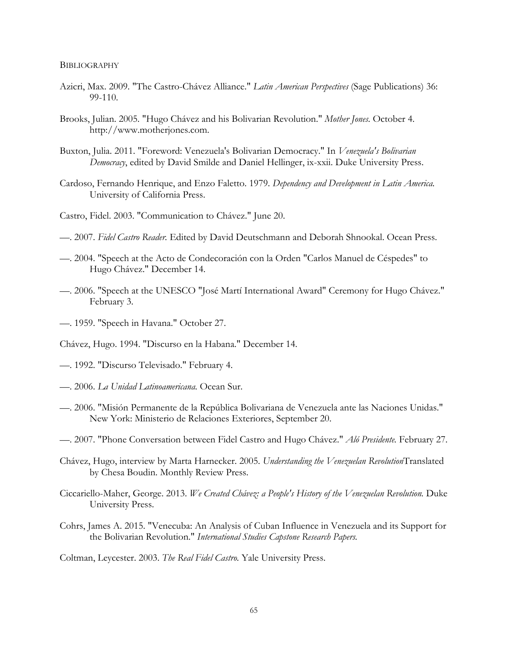#### **BIBLIOGRAPHY**

- Azicri, Max. 2009. "The Castro-Chávez Alliance." *Latin American Perspectives* (Sage Publications) 36: 99-110.
- Brooks, Julian. 2005. "Hugo Chávez and his Bolivarian Revolution." *Mother Jones.* October 4. http://www.motherjones.com.
- Buxton, Julia. 2011. "Foreword: Venezuela's Bolivarian Democracy." In *Venezuela's Bolivarian Democracy*, edited by David Smilde and Daniel Hellinger, ix-xxii. Duke University Press.
- Cardoso, Fernando Henrique, and Enzo Faletto. 1979. *Dependency and Development in Latin America.* University of California Press.
- Castro, Fidel. 2003. "Communication to Chávez." June 20.
- —. 2007. *Fidel Castro Reader.* Edited by David Deutschmann and Deborah Shnookal. Ocean Press.
- —. 2004. "Speech at the Acto de Condecoración con la Orden "Carlos Manuel de Céspedes" to Hugo Chávez." December 14.
- —. 2006. "Speech at the UNESCO "José Martí International Award" Ceremony for Hugo Chávez." February 3.
- —. 1959. "Speech in Havana." October 27.
- Chávez, Hugo. 1994. "Discurso en la Habana." December 14.
- —. 1992. "Discurso Televisado." February 4.
- —. 2006. *La Unidad Latinoamericana.* Ocean Sur.
- —. 2006. "Misión Permanente de la República Bolivariana de Venezuela ante las Naciones Unidas." New York: Ministerio de Relaciones Exteriores, September 20.
- —. 2007. "Phone Conversation between Fidel Castro and Hugo Chávez." *Aló Presidente.* February 27.
- Chávez, Hugo, interview by Marta Harnecker. 2005. *Understanding the Venezuelan Revolution*Translated by Chesa Boudin. Monthly Review Press.
- Ciccariello-Maher, George. 2013. *We Created Chávez: a People's History of the Venezuelan Revolution.* Duke University Press.
- Cohrs, James A. 2015. "Venecuba: An Analysis of Cuban Influence in Venezuela and its Support for the Bolivarian Revolution." *International Studies Capstone Research Papers.*

Coltman, Leycester. 2003. *The Real Fidel Castro.* Yale University Press.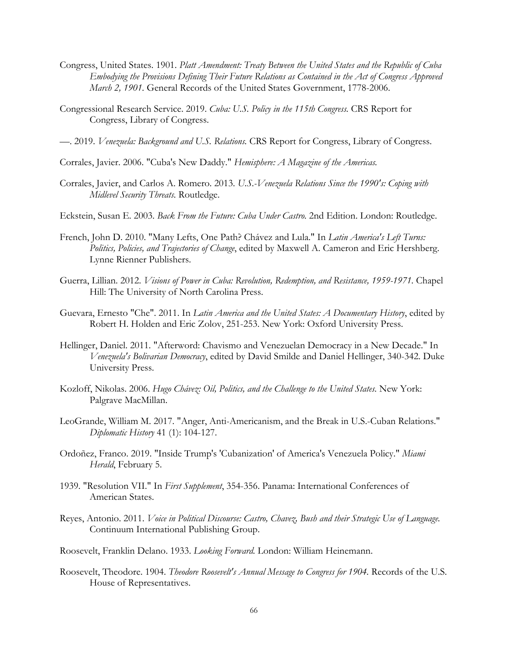- Congress, United States. 1901. *Platt Amendment: Treaty Between the United States and the Republic of Cuba Embodying the Provisions Defining Their Future Relations as Contained in the Act of Congress Approved March 2, 1901.* General Records of the United States Government, 1778-2006.
- Congressional Research Service. 2019. *Cuba: U.S. Policy in the 115th Congress.* CRS Report for Congress, Library of Congress.
- —. 2019. *Venezuela: Background and U.S. Relations.* CRS Report for Congress, Library of Congress.
- Corrales, Javier. 2006. "Cuba's New Daddy." *Hemisphere: A Magazine of the Americas.*
- Corrales, Javier, and Carlos A. Romero. 2013. *U.S.-Venezuela Relations Since the 1990's: Coping with Midlevel Security Threats.* Routledge.
- Eckstein, Susan E. 2003. *Back From the Future: Cuba Under Castro.* 2nd Edition. London: Routledge.
- French, John D. 2010. "Many Lefts, One Path? Chávez and Lula." In *Latin America's Left Turns: Politics, Policies, and Trajectories of Change*, edited by Maxwell A. Cameron and Eric Hershberg. Lynne Rienner Publishers.
- Guerra, Lillian. 2012. *Visions of Power in Cuba: Revolution, Redemption, and Resistance, 1959-1971.* Chapel Hill: The University of North Carolina Press.
- Guevara, Ernesto "Che". 2011. In *Latin America and the United States: A Documentary History*, edited by Robert H. Holden and Eric Zolov, 251-253. New York: Oxford University Press.
- Hellinger, Daniel. 2011. "Afterword: Chavismo and Venezuelan Democracy in a New Decade." In *Venezuela's Bolivarian Democracy*, edited by David Smilde and Daniel Hellinger, 340-342. Duke University Press.
- Kozloff, Nikolas. 2006. *Hugo Chávez: Oil, Politics, and the Challenge to the United States.* New York: Palgrave MacMillan.
- LeoGrande, William M. 2017. "Anger, Anti-Americanism, and the Break in U.S.-Cuban Relations." *Diplomatic History* 41 (1): 104-127.
- Ordoñez, Franco. 2019. "Inside Trump's 'Cubanization' of America's Venezuela Policy." *Miami Herald*, February 5.
- 1939. "Resolution VII." In *First Supplement*, 354-356. Panama: International Conferences of American States.
- Reyes, Antonio. 2011. *Voice in Political Discourse: Castro, Chavez, Bush and their Strategic Use of Language.* Continuum International Publishing Group.
- Roosevelt, Franklin Delano. 1933. *Looking Forward.* London: William Heinemann.
- Roosevelt, Theodore. 1904. *Theodore Roosevelt's Annual Message to Congress for 1904.* Records of the U.S. House of Representatives.